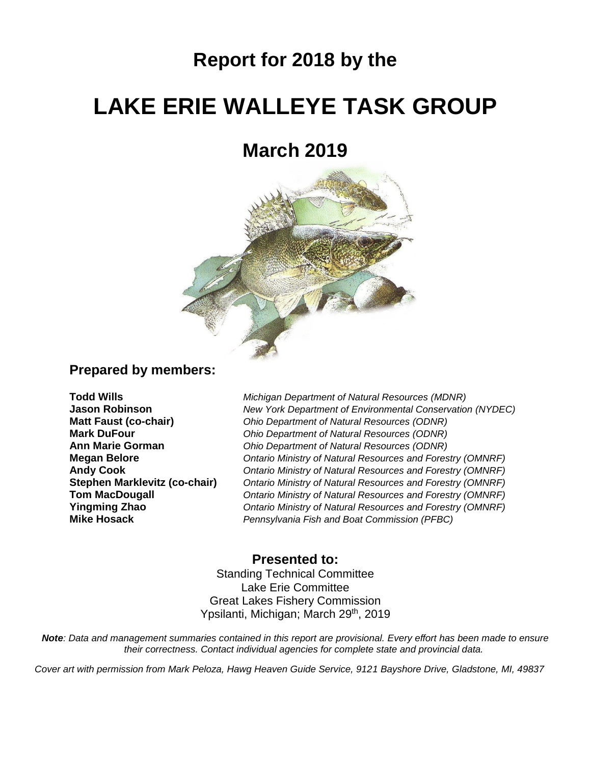## **Report for 2018 by the**

# **LAKE ERIE WALLEYE TASK GROUP**

## **March 2019**



## **Prepared by members:**

**Todd Wills** *Michigan Department of Natural Resources (MDNR)* **Jason Robinson** *New York Department of Environmental Conservation (NYDEC)* **Matt Faust (co-chair)** *Ohio Department of Natural Resources (ODNR)* **Mark DuFour** *Ohio Department of Natural Resources (ODNR)* **Ann Marie Gorman** *Ohio Department of Natural Resources (ODNR)* **Megan Belore** *Ontario Ministry of Natural Resources and Forestry (OMNRF)* **Andy Cook** *Ontario Ministry of Natural Resources and Forestry (OMNRF)* **Stephen Marklevitz (co-chair)** *Ontario Ministry of Natural Resources and Forestry (OMNRF)* **Tom MacDougall** *Ontario Ministry of Natural Resources and Forestry (OMNRF)* **Yingming Zhao** *Ontario Ministry of Natural Resources and Forestry (OMNRF)* **Pennsylvania Fish and Boat Commission (PFBC)** 

### **Presented to:**

Standing Technical Committee Lake Erie Committee Great Lakes Fishery Commission Ypsilanti, Michigan; March 29<sup>th</sup>, 2019

*Note: Data and management summaries contained in this report are provisional. Every effort has been made to ensure their correctness. Contact individual agencies for complete state and provincial data.*

*Cover art with permission from Mark Peloza, Hawg Heaven Guide Service, 9121 Bayshore Drive, Gladstone, MI, 49837*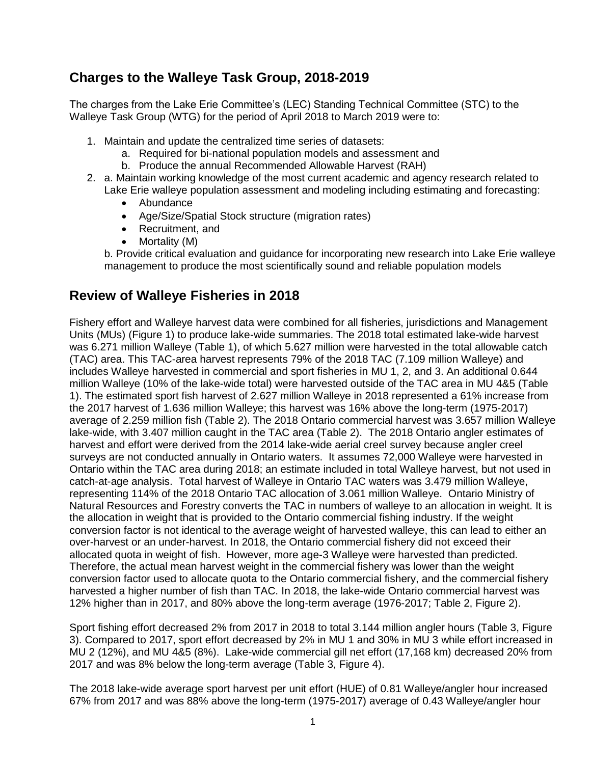## **Charges to the Walleye Task Group, 2018-2019**

The charges from the Lake Erie Committee's (LEC) Standing Technical Committee (STC) to the Walleye Task Group (WTG) for the period of April 2018 to March 2019 were to:

- 1. Maintain and update the centralized time series of datasets:
	- a. Required for bi-national population models and assessment and
	- b. Produce the annual Recommended Allowable Harvest (RAH)
- 2. a. Maintain working knowledge of the most current academic and agency research related to Lake Erie walleye population assessment and modeling including estimating and forecasting:
	- Abundance
	- Age/Size/Spatial Stock structure (migration rates)
	- Recruitment, and
	- Mortality (M)

b. Provide critical evaluation and guidance for incorporating new research into Lake Erie walleye management to produce the most scientifically sound and reliable population models

## **Review of Walleye Fisheries in 2018**

Fishery effort and Walleye harvest data were combined for all fisheries, jurisdictions and Management Units (MUs) (Figure 1) to produce lake-wide summaries. The 2018 total estimated lake-wide harvest was 6.271 million Walleye (Table 1), of which 5.627 million were harvested in the total allowable catch (TAC) area. This TAC-area harvest represents 79% of the 2018 TAC (7.109 million Walleye) and includes Walleye harvested in commercial and sport fisheries in MU 1, 2, and 3. An additional 0.644 million Walleye (10% of the lake-wide total) were harvested outside of the TAC area in MU 4&5 (Table 1). The estimated sport fish harvest of 2.627 million Walleye in 2018 represented a 61% increase from the 2017 harvest of 1.636 million Walleye; this harvest was 16% above the long-term (1975-2017) average of 2.259 million fish (Table 2). The 2018 Ontario commercial harvest was 3.657 million Walleye lake-wide, with 3.407 million caught in the TAC area (Table 2). The 2018 Ontario angler estimates of harvest and effort were derived from the 2014 lake-wide aerial creel survey because angler creel surveys are not conducted annually in Ontario waters. It assumes 72,000 Walleye were harvested in Ontario within the TAC area during 2018; an estimate included in total Walleye harvest, but not used in catch-at-age analysis. Total harvest of Walleye in Ontario TAC waters was 3.479 million Walleye, representing 114% of the 2018 Ontario TAC allocation of 3.061 million Walleye. Ontario Ministry of Natural Resources and Forestry converts the TAC in numbers of walleye to an allocation in weight. It is the allocation in weight that is provided to the Ontario commercial fishing industry. If the weight conversion factor is not identical to the average weight of harvested walleye, this can lead to either an over-harvest or an under-harvest. In 2018, the Ontario commercial fishery did not exceed their allocated quota in weight of fish. However, more age-3 Walleye were harvested than predicted. Therefore, the actual mean harvest weight in the commercial fishery was lower than the weight conversion factor used to allocate quota to the Ontario commercial fishery, and the commercial fishery harvested a higher number of fish than TAC. In 2018, the lake-wide Ontario commercial harvest was 12% higher than in 2017, and 80% above the long-term average (1976-2017; Table 2, Figure 2).

Sport fishing effort decreased 2% from 2017 in 2018 to total 3.144 million angler hours (Table 3, Figure 3). Compared to 2017, sport effort decreased by 2% in MU 1 and 30% in MU 3 while effort increased in MU 2 (12%), and MU 4&5 (8%). Lake-wide commercial gill net effort (17,168 km) decreased 20% from 2017 and was 8% below the long-term average (Table 3, Figure 4).

The 2018 lake-wide average sport harvest per unit effort (HUE) of 0.81 Walleye/angler hour increased 67% from 2017 and was 88% above the long-term (1975-2017) average of 0.43 Walleye/angler hour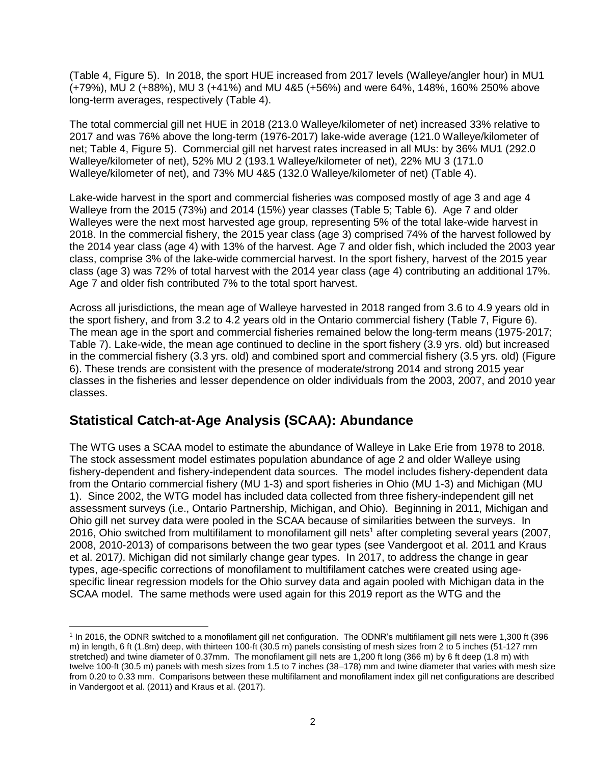(Table 4, Figure 5). In 2018, the sport HUE increased from 2017 levels (Walleye/angler hour) in MU1 (+79%), MU 2 (+88%), MU 3 (+41%) and MU 4&5 (+56%) and were 64%, 148%, 160% 250% above long-term averages, respectively (Table 4).

The total commercial gill net HUE in 2018 (213.0 Walleye/kilometer of net) increased 33% relative to 2017 and was 76% above the long-term (1976-2017) lake-wide average (121.0 Walleye/kilometer of net; Table 4, Figure 5). Commercial gill net harvest rates increased in all MUs: by 36% MU1 (292.0 Walleye/kilometer of net), 52% MU 2 (193.1 Walleye/kilometer of net), 22% MU 3 (171.0 Walleye/kilometer of net), and 73% MU 4&5 (132.0 Walleye/kilometer of net) (Table 4).

Lake-wide harvest in the sport and commercial fisheries was composed mostly of age 3 and age 4 Walleye from the 2015 (73%) and 2014 (15%) year classes (Table 5; Table 6). Age 7 and older Walleyes were the next most harvested age group, representing 5% of the total lake-wide harvest in 2018. In the commercial fishery, the 2015 year class (age 3) comprised 74% of the harvest followed by the 2014 year class (age 4) with 13% of the harvest. Age 7 and older fish, which included the 2003 year class, comprise 3% of the lake-wide commercial harvest. In the sport fishery, harvest of the 2015 year class (age 3) was 72% of total harvest with the 2014 year class (age 4) contributing an additional 17%. Age 7 and older fish contributed 7% to the total sport harvest.

Across all jurisdictions, the mean age of Walleye harvested in 2018 ranged from 3.6 to 4.9 years old in the sport fishery, and from 3.2 to 4.2 years old in the Ontario commercial fishery (Table 7, Figure 6). The mean age in the sport and commercial fisheries remained below the long-term means (1975-2017; Table 7). Lake-wide, the mean age continued to decline in the sport fishery (3.9 yrs. old) but increased in the commercial fishery (3.3 yrs. old) and combined sport and commercial fishery (3.5 yrs. old) (Figure 6). These trends are consistent with the presence of moderate/strong 2014 and strong 2015 year classes in the fisheries and lesser dependence on older individuals from the 2003, 2007, and 2010 year classes.

## **Statistical Catch-at-Age Analysis (SCAA): Abundance**

The WTG uses a SCAA model to estimate the abundance of Walleye in Lake Erie from 1978 to 2018. The stock assessment model estimates population abundance of age 2 and older Walleye using fishery-dependent and fishery-independent data sources. The model includes fishery-dependent data from the Ontario commercial fishery (MU 1-3) and sport fisheries in Ohio (MU 1-3) and Michigan (MU 1). Since 2002, the WTG model has included data collected from three fishery-independent gill net assessment surveys (i.e., Ontario Partnership, Michigan, and Ohio). Beginning in 2011, Michigan and Ohio gill net survey data were pooled in the SCAA because of similarities between the surveys. In 2016, Ohio switched from multifilament to monofilament gill nets<sup>1</sup> after completing several years (2007, 2008, 2010-2013) of comparisons between the two gear types (see Vandergoot et al. 2011 and Kraus et al. 2017*)*. Michigan did not similarly change gear types. In 2017, to address the change in gear types, age-specific corrections of monofilament to multifilament catches were created using agespecific linear regression models for the Ohio survey data and again pooled with Michigan data in the SCAA model. The same methods were used again for this 2019 report as the WTG and the

 1 In 2016, the ODNR switched to a monofilament gill net configuration. The ODNR's multifilament gill nets were 1,300 ft (396 m) in length, 6 ft (1.8m) deep, with thirteen 100-ft (30.5 m) panels consisting of mesh sizes from 2 to 5 inches (51-127 mm stretched) and twine diameter of 0.37mm. The monofilament gill nets are 1,200 ft long (366 m) by 6 ft deep (1.8 m) with twelve 100-ft (30.5 m) panels with mesh sizes from 1.5 to 7 inches (38–178) mm and twine diameter that varies with mesh size from 0.20 to 0.33 mm. Comparisons between these multifilament and monofilament index gill net configurations are described in Vandergoot et al. (2011) and Kraus et al. (2017).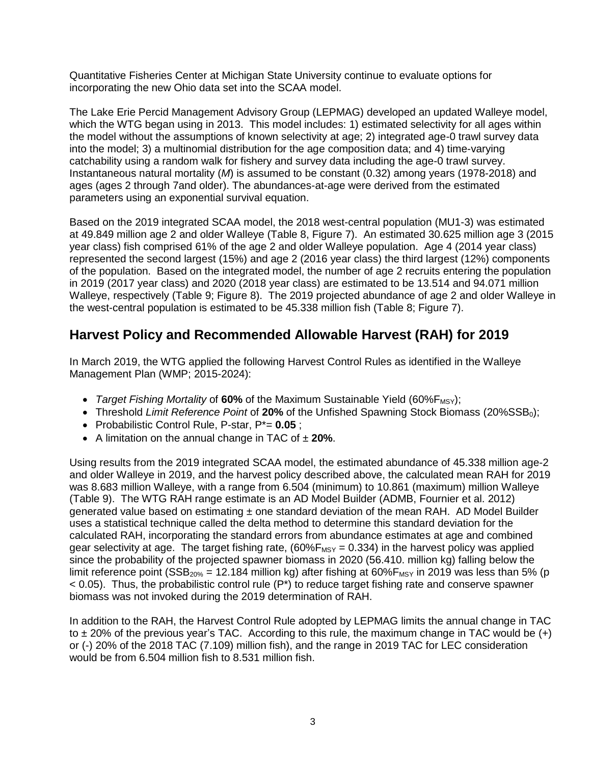Quantitative Fisheries Center at Michigan State University continue to evaluate options for incorporating the new Ohio data set into the SCAA model.

The Lake Erie Percid Management Advisory Group (LEPMAG) developed an updated Walleye model, which the WTG began using in 2013. This model includes: 1) estimated selectivity for all ages within the model without the assumptions of known selectivity at age; 2) integrated age-0 trawl survey data into the model; 3) a multinomial distribution for the age composition data; and 4) time-varying catchability using a random walk for fishery and survey data including the age-0 trawl survey. Instantaneous natural mortality (*M*) is assumed to be constant (0.32) among years (1978-2018) and ages (ages 2 through 7and older). The abundances-at-age were derived from the estimated parameters using an exponential survival equation.

Based on the 2019 integrated SCAA model, the 2018 west-central population (MU1-3) was estimated at 49.849 million age 2 and older Walleye (Table 8, Figure 7). An estimated 30.625 million age 3 (2015 year class) fish comprised 61% of the age 2 and older Walleye population. Age 4 (2014 year class) represented the second largest (15%) and age 2 (2016 year class) the third largest (12%) components of the population. Based on the integrated model, the number of age 2 recruits entering the population in 2019 (2017 year class) and 2020 (2018 year class) are estimated to be 13.514 and 94.071 million Walleye, respectively (Table 9; Figure 8). The 2019 projected abundance of age 2 and older Walleye in the west-central population is estimated to be 45.338 million fish (Table 8; Figure 7).

## **Harvest Policy and Recommended Allowable Harvest (RAH) for 2019**

In March 2019, the WTG applied the following Harvest Control Rules as identified in the Walleye Management Plan (WMP; 2015-2024):

- *Target Fishing Mortality* of 60% of the Maximum Sustainable Yield (60%F<sub>MSY</sub>);
- Threshold *Limit Reference Point* of 20% of the Unfished Spawning Stock Biomass (20%SSB<sub>0</sub>);
- Probabilistic Control Rule, P-star, P\*= **0.05** ;
- A limitation on the annual change in TAC of ± **20%**.

Using results from the 2019 integrated SCAA model, the estimated abundance of 45.338 million age-2 and older Walleye in 2019, and the harvest policy described above, the calculated mean RAH for 2019 was 8.683 million Walleye, with a range from 6.504 (minimum) to 10.861 (maximum) million Walleye (Table 9). The WTG RAH range estimate is an AD Model Builder (ADMB, Fournier et al. 2012) generated value based on estimating  $\pm$  one standard deviation of the mean RAH. AD Model Builder uses a statistical technique called the delta method to determine this standard deviation for the calculated RAH, incorporating the standard errors from abundance estimates at age and combined gear selectivity at age. The target fishing rate,  $(60\%F_{MSY} = 0.334)$  in the harvest policy was applied since the probability of the projected spawner biomass in 2020 (56.410. million kg) falling below the limit reference point (SSB<sub>20%</sub> = 12.184 million kg) after fishing at 60% $F_{MSY}$  in 2019 was less than 5% (p  $<$  0.05). Thus, the probabilistic control rule (P<sup>\*</sup>) to reduce target fishing rate and conserve spawner biomass was not invoked during the 2019 determination of RAH.

In addition to the RAH, the Harvest Control Rule adopted by LEPMAG limits the annual change in TAC to  $\pm$  20% of the previous year's TAC. According to this rule, the maximum change in TAC would be  $(+)$ or (-) 20% of the 2018 TAC (7.109) million fish), and the range in 2019 TAC for LEC consideration would be from 6.504 million fish to 8.531 million fish.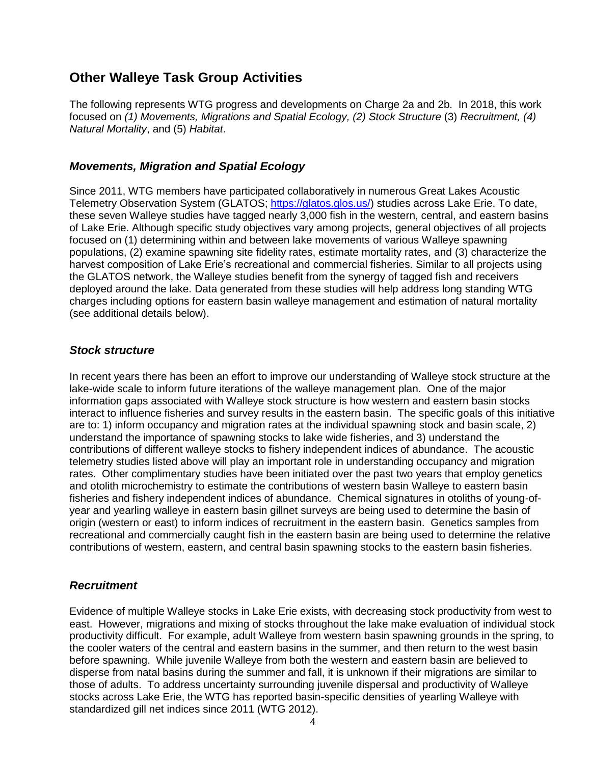## **Other Walleye Task Group Activities**

The following represents WTG progress and developments on Charge 2a and 2b. In 2018, this work focused on *(1) Movements, Migrations and Spatial Ecology, (2) Stock Structure* (3) *Recruitment, (4) Natural Mortality*, and (5) *Habitat*.

#### *Movements, Migration and Spatial Ecology*

Since 2011, WTG members have participated collaboratively in numerous Great Lakes Acoustic Telemetry Observation System (GLATOS; [https://glatos.glos.us/\)](https://glatos.glos.us/) studies across Lake Erie. To date, these seven Walleye studies have tagged nearly 3,000 fish in the western, central, and eastern basins of Lake Erie. Although specific study objectives vary among projects, general objectives of all projects focused on (1) determining within and between lake movements of various Walleye spawning populations, (2) examine spawning site fidelity rates, estimate mortality rates, and (3) characterize the harvest composition of Lake Erie's recreational and commercial fisheries. Similar to all projects using the GLATOS network, the Walleye studies benefit from the synergy of tagged fish and receivers deployed around the lake. Data generated from these studies will help address long standing WTG charges including options for eastern basin walleye management and estimation of natural mortality (see additional details below).

#### *Stock structure*

In recent years there has been an effort to improve our understanding of Walleye stock structure at the lake-wide scale to inform future iterations of the walleye management plan. One of the major information gaps associated with Walleye stock structure is how western and eastern basin stocks interact to influence fisheries and survey results in the eastern basin. The specific goals of this initiative are to: 1) inform occupancy and migration rates at the individual spawning stock and basin scale, 2) understand the importance of spawning stocks to lake wide fisheries, and 3) understand the contributions of different walleye stocks to fishery independent indices of abundance. The acoustic telemetry studies listed above will play an important role in understanding occupancy and migration rates. Other complimentary studies have been initiated over the past two years that employ genetics and otolith microchemistry to estimate the contributions of western basin Walleye to eastern basin fisheries and fishery independent indices of abundance. Chemical signatures in otoliths of young-ofyear and yearling walleye in eastern basin gillnet surveys are being used to determine the basin of origin (western or east) to inform indices of recruitment in the eastern basin. Genetics samples from recreational and commercially caught fish in the eastern basin are being used to determine the relative contributions of western, eastern, and central basin spawning stocks to the eastern basin fisheries.

#### *Recruitment*

Evidence of multiple Walleye stocks in Lake Erie exists, with decreasing stock productivity from west to east. However, migrations and mixing of stocks throughout the lake make evaluation of individual stock productivity difficult. For example, adult Walleye from western basin spawning grounds in the spring, to the cooler waters of the central and eastern basins in the summer, and then return to the west basin before spawning. While juvenile Walleye from both the western and eastern basin are believed to disperse from natal basins during the summer and fall, it is unknown if their migrations are similar to those of adults. To address uncertainty surrounding juvenile dispersal and productivity of Walleye stocks across Lake Erie, the WTG has reported basin-specific densities of yearling Walleye with standardized gill net indices since 2011 (WTG 2012).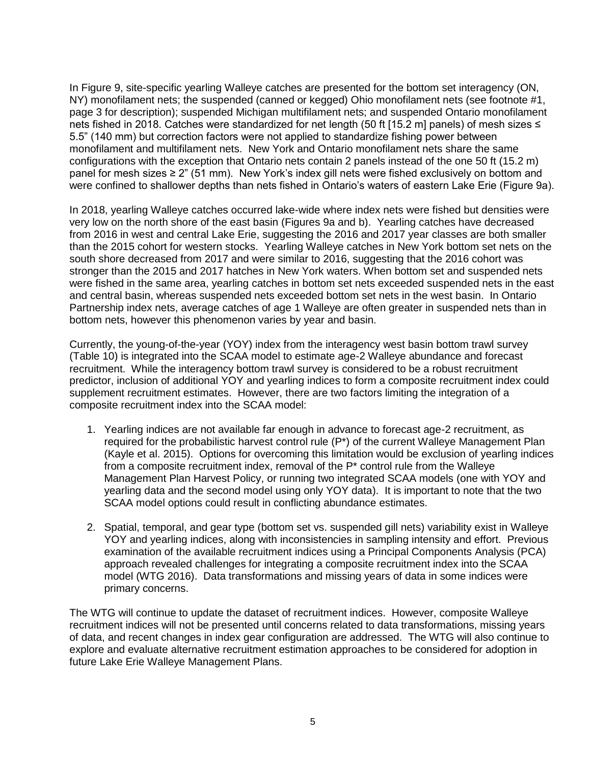In Figure 9, site-specific yearling Walleye catches are presented for the bottom set interagency (ON, NY) monofilament nets; the suspended (canned or kegged) Ohio monofilament nets (see footnote #1, page 3 for description); suspended Michigan multifilament nets; and suspended Ontario monofilament nets fished in 2018. Catches were standardized for net length (50 ft [15.2 m] panels) of mesh sizes ≤ 5.5" (140 mm) but correction factors were not applied to standardize fishing power between monofilament and multifilament nets. New York and Ontario monofilament nets share the same configurations with the exception that Ontario nets contain 2 panels instead of the one 50 ft (15.2 m) panel for mesh sizes ≥ 2" (51 mm). New York's index gill nets were fished exclusively on bottom and were confined to shallower depths than nets fished in Ontario's waters of eastern Lake Erie (Figure 9a).

In 2018, yearling Walleye catches occurred lake-wide where index nets were fished but densities were very low on the north shore of the east basin (Figures 9a and b). Yearling catches have decreased from 2016 in west and central Lake Erie, suggesting the 2016 and 2017 year classes are both smaller than the 2015 cohort for western stocks. Yearling Walleye catches in New York bottom set nets on the south shore decreased from 2017 and were similar to 2016, suggesting that the 2016 cohort was stronger than the 2015 and 2017 hatches in New York waters. When bottom set and suspended nets were fished in the same area, yearling catches in bottom set nets exceeded suspended nets in the east and central basin, whereas suspended nets exceeded bottom set nets in the west basin. In Ontario Partnership index nets, average catches of age 1 Walleye are often greater in suspended nets than in bottom nets, however this phenomenon varies by year and basin.

Currently, the young-of-the-year (YOY) index from the interagency west basin bottom trawl survey (Table 10) is integrated into the SCAA model to estimate age-2 Walleye abundance and forecast recruitment. While the interagency bottom trawl survey is considered to be a robust recruitment predictor, inclusion of additional YOY and yearling indices to form a composite recruitment index could supplement recruitment estimates. However, there are two factors limiting the integration of a composite recruitment index into the SCAA model:

- 1. Yearling indices are not available far enough in advance to forecast age-2 recruitment, as required for the probabilistic harvest control rule (P\*) of the current Walleye Management Plan (Kayle et al. 2015). Options for overcoming this limitation would be exclusion of yearling indices from a composite recruitment index, removal of the  $P^*$  control rule from the Walleye Management Plan Harvest Policy, or running two integrated SCAA models (one with YOY and yearling data and the second model using only YOY data). It is important to note that the two SCAA model options could result in conflicting abundance estimates.
- 2. Spatial, temporal, and gear type (bottom set vs. suspended gill nets) variability exist in Walleye YOY and yearling indices, along with inconsistencies in sampling intensity and effort. Previous examination of the available recruitment indices using a Principal Components Analysis (PCA) approach revealed challenges for integrating a composite recruitment index into the SCAA model (WTG 2016). Data transformations and missing years of data in some indices were primary concerns.

The WTG will continue to update the dataset of recruitment indices. However, composite Walleye recruitment indices will not be presented until concerns related to data transformations, missing years of data, and recent changes in index gear configuration are addressed. The WTG will also continue to explore and evaluate alternative recruitment estimation approaches to be considered for adoption in future Lake Erie Walleye Management Plans.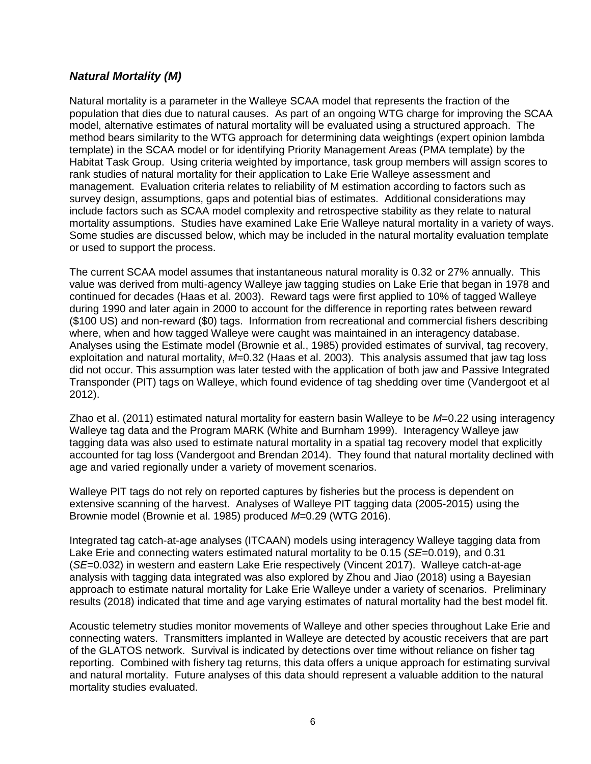#### *Natural Mortality (M)*

Natural mortality is a parameter in the Walleye SCAA model that represents the fraction of the population that dies due to natural causes. As part of an ongoing WTG charge for improving the SCAA model, alternative estimates of natural mortality will be evaluated using a structured approach. The method bears similarity to the WTG approach for determining data weightings (expert opinion lambda template) in the SCAA model or for identifying Priority Management Areas (PMA template) by the Habitat Task Group. Using criteria weighted by importance, task group members will assign scores to rank studies of natural mortality for their application to Lake Erie Walleye assessment and management. Evaluation criteria relates to reliability of M estimation according to factors such as survey design, assumptions, gaps and potential bias of estimates. Additional considerations may include factors such as SCAA model complexity and retrospective stability as they relate to natural mortality assumptions. Studies have examined Lake Erie Walleye natural mortality in a variety of ways. Some studies are discussed below, which may be included in the natural mortality evaluation template or used to support the process.

The current SCAA model assumes that instantaneous natural morality is 0.32 or 27% annually. This value was derived from multi-agency Walleye jaw tagging studies on Lake Erie that began in 1978 and continued for decades (Haas et al. 2003). Reward tags were first applied to 10% of tagged Walleye during 1990 and later again in 2000 to account for the difference in reporting rates between reward (\$100 US) and non-reward (\$0) tags. Information from recreational and commercial fishers describing where, when and how tagged Walleye were caught was maintained in an interagency database. Analyses using the Estimate model (Brownie et al., 1985) provided estimates of survival, tag recovery, exploitation and natural mortality, *M*=0.32 (Haas et al. 2003). This analysis assumed that jaw tag loss did not occur. This assumption was later tested with the application of both jaw and Passive Integrated Transponder (PIT) tags on Walleye, which found evidence of tag shedding over time (Vandergoot et al 2012).

Zhao et al. (2011) estimated natural mortality for eastern basin Walleye to be *M*=0.22 using interagency Walleye tag data and the Program MARK (White and Burnham 1999). Interagency Walleye jaw tagging data was also used to estimate natural mortality in a spatial tag recovery model that explicitly accounted for tag loss (Vandergoot and Brendan 2014). They found that natural mortality declined with age and varied regionally under a variety of movement scenarios.

Walleye PIT tags do not rely on reported captures by fisheries but the process is dependent on extensive scanning of the harvest. Analyses of Walleye PIT tagging data (2005-2015) using the Brownie model (Brownie et al. 1985) produced *M*=0.29 (WTG 2016).

Integrated tag catch-at-age analyses (ITCAAN) models using interagency Walleye tagging data from Lake Erie and connecting waters estimated natural mortality to be 0.15 (*SE*=0.019), and 0.31 (*SE*=0.032) in western and eastern Lake Erie respectively (Vincent 2017). Walleye catch-at-age analysis with tagging data integrated was also explored by Zhou and Jiao (2018) using a Bayesian approach to estimate natural mortality for Lake Erie Walleye under a variety of scenarios. Preliminary results (2018) indicated that time and age varying estimates of natural mortality had the best model fit.

Acoustic telemetry studies monitor movements of Walleye and other species throughout Lake Erie and connecting waters. Transmitters implanted in Walleye are detected by acoustic receivers that are part of the GLATOS network. Survival is indicated by detections over time without reliance on fisher tag reporting. Combined with fishery tag returns, this data offers a unique approach for estimating survival and natural mortality. Future analyses of this data should represent a valuable addition to the natural mortality studies evaluated.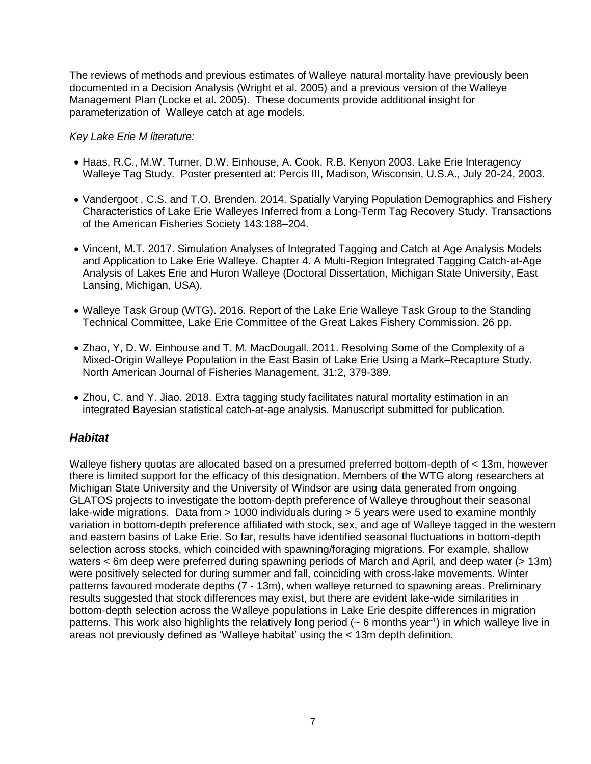The reviews of methods and previous estimates of Walleye natural mortality have previously been documented in a Decision Analysis (Wright et al. 2005) and a previous version of the Walleye Management Plan (Locke et al. 2005). These documents provide additional insight for parameterization of Walleye catch at age models.

#### *Key Lake Erie M literature:*

- Haas, R.C., M.W. Turner, D.W. Einhouse, A. Cook, R.B. Kenyon 2003. Lake Erie Interagency Walleye Tag Study. Poster presented at: Percis III, Madison, Wisconsin, U.S.A., July 20-24, 2003.
- Vandergoot , C.S. and T.O. Brenden. 2014. Spatially Varying Population Demographics and Fishery Characteristics of Lake Erie Walleyes Inferred from a Long-Term Tag Recovery Study. Transactions of the American Fisheries Society 143:188–204.
- Vincent, M.T. 2017. Simulation Analyses of Integrated Tagging and Catch at Age Analysis Models and Application to Lake Erie Walleye. Chapter 4. A Multi-Region Integrated Tagging Catch-at-Age Analysis of Lakes Erie and Huron Walleye (Doctoral Dissertation, Michigan State University, East Lansing, Michigan, USA).
- Walleye Task Group (WTG). 2016. Report of the Lake Erie Walleye Task Group to the Standing Technical Committee, Lake Erie Committee of the Great Lakes Fishery Commission. 26 pp.
- Zhao, Y, D. W. Einhouse and T. M. MacDougall. 2011. Resolving Some of the Complexity of a Mixed-Origin Walleye Population in the East Basin of Lake Erie Using a Mark–Recapture Study. North American Journal of Fisheries Management, 31:2, 379-389.
- Zhou, C. and Y. Jiao. 2018. Extra tagging study facilitates natural mortality estimation in an integrated Bayesian statistical catch-at-age analysis. Manuscript submitted for publication.

#### *Habitat*

Walleye fishery quotas are allocated based on a presumed preferred bottom-depth of < 13m, however there is limited support for the efficacy of this designation. Members of the WTG along researchers at Michigan State University and the University of Windsor are using data generated from ongoing GLATOS projects to investigate the bottom-depth preference of Walleye throughout their seasonal lake-wide migrations. Data from  $> 1000$  individuals during  $> 5$  years were used to examine monthly variation in bottom-depth preference affiliated with stock, sex, and age of Walleye tagged in the western and eastern basins of Lake Erie. So far, results have identified seasonal fluctuations in bottom-depth selection across stocks, which coincided with spawning/foraging migrations. For example, shallow waters < 6m deep were preferred during spawning periods of March and April, and deep water (> 13m) were positively selected for during summer and fall, coinciding with cross-lake movements. Winter patterns favoured moderate depths (7 - 13m), when walleye returned to spawning areas. Preliminary results suggested that stock differences may exist, but there are evident lake-wide similarities in bottom-depth selection across the Walleye populations in Lake Erie despite differences in migration patterns. This work also highlights the relatively long period (~ 6 months year<sup>-1</sup>) in which walleye live in areas not previously defined as 'Walleye habitat' using the < 13m depth definition.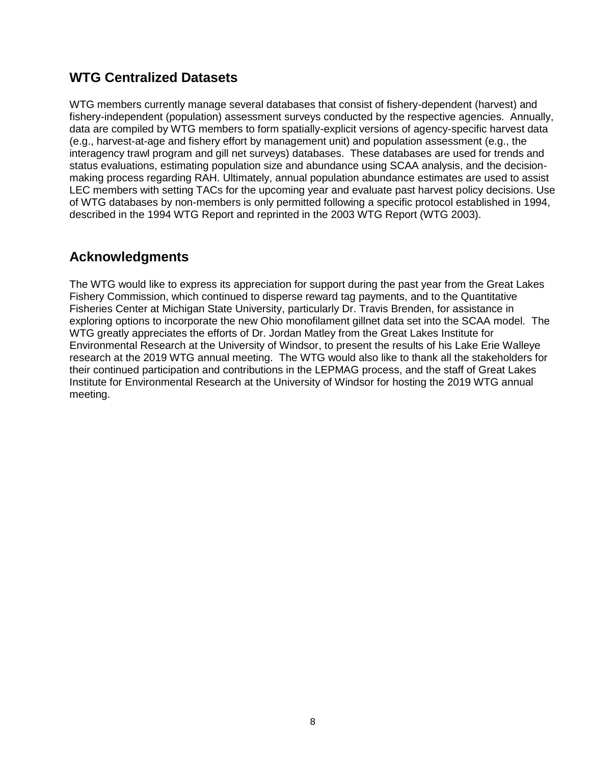## **WTG Centralized Datasets**

WTG members currently manage several databases that consist of fishery-dependent (harvest) and fishery-independent (population) assessment surveys conducted by the respective agencies. Annually, data are compiled by WTG members to form spatially-explicit versions of agency-specific harvest data (e.g., harvest-at-age and fishery effort by management unit) and population assessment (e.g., the interagency trawl program and gill net surveys) databases. These databases are used for trends and status evaluations, estimating population size and abundance using SCAA analysis, and the decisionmaking process regarding RAH. Ultimately, annual population abundance estimates are used to assist LEC members with setting TACs for the upcoming year and evaluate past harvest policy decisions. Use of WTG databases by non-members is only permitted following a specific protocol established in 1994, described in the 1994 WTG Report and reprinted in the 2003 WTG Report (WTG 2003).

## **Acknowledgments**

The WTG would like to express its appreciation for support during the past year from the Great Lakes Fishery Commission, which continued to disperse reward tag payments, and to the Quantitative Fisheries Center at Michigan State University, particularly Dr. Travis Brenden, for assistance in exploring options to incorporate the new Ohio monofilament gillnet data set into the SCAA model. The WTG greatly appreciates the efforts of Dr. Jordan Matley from the Great Lakes Institute for Environmental Research at the University of Windsor, to present the results of his Lake Erie Walleye research at the 2019 WTG annual meeting. The WTG would also like to thank all the stakeholders for their continued participation and contributions in the LEPMAG process, and the staff of Great Lakes Institute for Environmental Research at the University of Windsor for hosting the 2019 WTG annual meeting.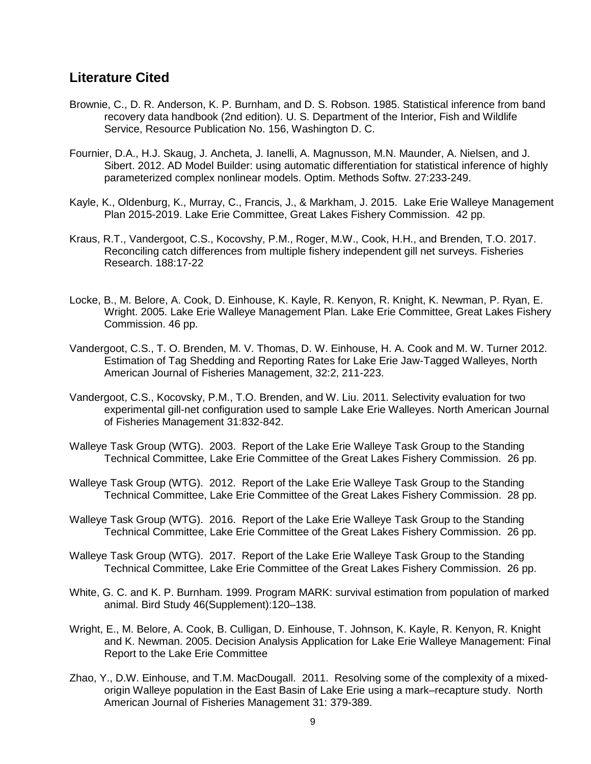### **Literature Cited**

- Brownie, C., D. R. Anderson, K. P. Burnham, and D. S. Robson. 1985. Statistical inference from band recovery data handbook (2nd edition). U. S. Department of the Interior, Fish and Wildlife Service, Resource Publication No. 156, Washington D. C.
- Fournier, D.A., H.J. Skaug, J. Ancheta, J. Ianelli, A. Magnusson, M.N. Maunder, A. Nielsen, and J. Sibert. 2012. AD Model Builder: using automatic differentiation for statistical inference of highly parameterized complex nonlinear models. Optim. Methods Softw. 27:233-249.
- Kayle, K., Oldenburg, K., Murray, C., Francis, J., & Markham, J. 2015. Lake Erie Walleye Management Plan 2015-2019. Lake Erie Committee, Great Lakes Fishery Commission. 42 pp.
- Kraus, R.T., Vandergoot, C.S., Kocovshy, P.M., Roger, M.W., Cook, H.H., and Brenden, T.O. 2017. Reconciling catch differences from multiple fishery independent gill net surveys. Fisheries Research. 188:17-22
- Locke, B., M. Belore, A. Cook, D. Einhouse, K. Kayle, R. Kenyon, R. Knight, K. Newman, P. Ryan, E. Wright. 2005. Lake Erie Walleye Management Plan. Lake Erie Committee, Great Lakes Fishery Commission. 46 pp.
- Vandergoot, C.S., T. O. Brenden, M. V. Thomas, D. W. Einhouse, H. A. Cook and M. W. Turner 2012. Estimation of Tag Shedding and Reporting Rates for Lake Erie Jaw-Tagged Walleyes, North American Journal of Fisheries Management, 32:2, 211-223.
- Vandergoot, C.S., Kocovsky, P.M., T.O. Brenden, and W. Liu. 2011. Selectivity evaluation for two experimental gill-net configuration used to sample Lake Erie Walleyes. North American Journal of Fisheries Management 31:832-842.
- Walleye Task Group (WTG). 2003. Report of the Lake Erie Walleye Task Group to the Standing Technical Committee, Lake Erie Committee of the Great Lakes Fishery Commission. 26 pp.
- Walleye Task Group (WTG). 2012. Report of the Lake Erie Walleye Task Group to the Standing Technical Committee, Lake Erie Committee of the Great Lakes Fishery Commission. 28 pp.
- Walleye Task Group (WTG). 2016. Report of the Lake Erie Walleye Task Group to the Standing Technical Committee, Lake Erie Committee of the Great Lakes Fishery Commission. 26 pp.
- Walleye Task Group (WTG). 2017. Report of the Lake Erie Walleye Task Group to the Standing Technical Committee, Lake Erie Committee of the Great Lakes Fishery Commission. 26 pp.
- White, G. C. and K. P. Burnham. 1999. Program MARK: survival estimation from population of marked animal. Bird Study 46(Supplement):120–138.
- Wright, E., M. Belore, A. Cook, B. Culligan, D. Einhouse, T. Johnson, K. Kayle, R. Kenyon, R. Knight and K. Newman. 2005. Decision Analysis Application for Lake Erie Walleye Management: Final Report to the Lake Erie Committee
- Zhao, Y., D.W. Einhouse, and T.M. MacDougall. 2011. Resolving some of the complexity of a mixedorigin Walleye population in the East Basin of Lake Erie using a mark–recapture study. North American Journal of Fisheries Management 31: 379-389.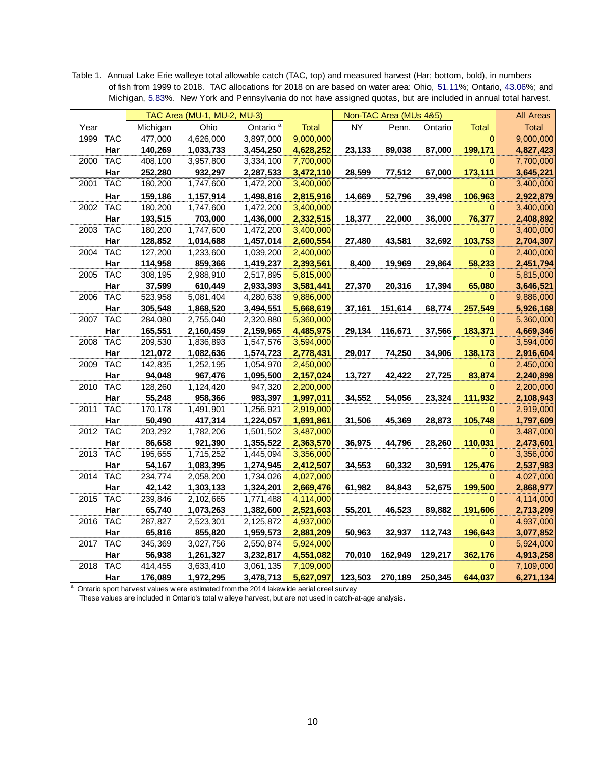TAC Area (MU-1, MU-2, MU-3) Non-TAC Area (MUs 4&5) All Areas Year | Michigan Ohio Ontario <sup>a</sup> Total | NY Penn. Ontario Total | Total 1999 TAC | 477,000 4,626,000 3,897,000<mark> 9,000,000</mark> | <mark>0| 9,000,000</mark> **Har 140,269 1,033,733 3,454,250 4,628,252 23,133 89,038 87,000 199,171 4,827,423** 2000 TAC | 408,100 3,957,800 3,334,100 <mark> 7,700,000</mark> 0| 7,700,000 **Har 252,280 932,297 2,287,533 3,472,110 28,599 77,512 67,000 173,111 3,645,221** 2001 TAC | 180,200 1,747,600 1,472,200 <mark>3,400,000</mark> 0| 3,<mark>400,000</mark> **Har 159,186 1,157,914 1,498,816 2,815,916 14,669 52,796 39,498 106,963 2,922,879** 2002 TAC | 180,200 1,747,600 1,472,200 <mark>3,400,000</mark> 0| 3,<mark>400,000</mark> **Har 193,515 703,000 1,436,000 2,332,515 18,377 22,000 36,000 76,377 2,408,892** 2003 TAC 180,200 1,747,600 1,472,200 3,400,000 0 3,400,000 **Har 128,852 1,014,688 1,457,014 2,600,554 27,480 43,581 32,692 103,753 2,704,307** 2004 TAC | 127,200 1,233,600 1,039,200<mark> 2,400,000</mark> 0| 2,400,000 **Har 114,958 859,366 1,419,237 2,393,561 8,400 19,969 29,864 58,233 2,451,794** 2005 TAC | 308,195 2,988,910 2,517,895 <mark>\_5,815,000</mark> | 0| 5,815,000 **Har 37,599 610,449 2,933,393 3,581,441 27,370 20,316 17,394 65,080 3,646,521** 2006 TAC | 523,958 5,081,404 4,280,638<mark> 9,886,000</mark> | 0| 9,886,000 **Har 305,548 1,868,520 3,494,551 5,668,619 37,161 151,614 68,774 257,549 5,926,168** 2007 TAC | 284,080 2,755,040 2,320,880<mark> 5,360,000</mark> | 0| 5,360,000 **Har 165,551 2,160,459 2,159,965 4,485,975 29,134 116,671 37,566 183,371 4,669,346** 2008 TAC | 209,530 1,836,893 1,547,576<mark> 3,594,000</mark> | <mark> 0| 3,594,000</mark> **Har 121,072 1,082,636 1,574,723 2,778,431 29,017 74,250 34,906 138,173 2,916,604** 2009 TAC | 142,835 1,252,195 1,054,970<mark> 2,450,000</mark> | 0| 2,450,000 **Har 94,048 967,476 1,095,500 2,157,024 13,727 42,422 27,725 83,874 2,240,898** 2010 TAC | 128,260 1,124,420 947,320<mark> 2,200,000</mark> 0| 2,200,000 **Har 55,248 958,366 983,397 1,997,011 34,552 54,056 23,324 111,932 2,108,943** 2011 TAC 170,178 1,491,901 1,256,921 2,919,000 0 2,919,000 **Har 50,490 417,314 1,224,057 1,691,861 31,506 45,369 28,873 105,748 1,797,609** 2012 TAC | 203,292 1,782,206 1,501,502<mark> 3,487,000</mark> 0| 3,487,000 **Har 86,658 921,390 1,355,522 2,363,570 36,975 44,796 28,260 110,031 2,473,601** 2013 TAC | 195,655 1,715,252 1,445,094<mark> 3,356,000</mark> | 0| 3,3<mark>56,000</mark> **Har 54,167 1,083,395 1,274,945 2,412,507 34,553 60,332 30,591 125,476 2,537,983** 2014 TAC | 234,774 2,058,200 1,734,026 <mark>4,027,000</mark> | 0| 4,027,000 **Har 42,142 1,303,133 1,324,201 2,669,476 61,982 84,843 52,675 199,500 2,868,977** 2015 TAC 239,846 2,102,665 1,771,488 4,114,000 0 4,114,000 **Har 65,740 1,073,263 1,382,600 2,521,603 55,201 46,523 89,882 191,606 2,713,209** 2016 TAC | 287,827 2,523,301 2,125,872 <mark>4,937,000</mark> 0| 4,937,000 **Har 65,816 855,820 1,959,573 2,881,209 50,963 32,937 112,743 196,643 3,077,852** 2017 TAC | 345,369 3,027,756 2,550,874<mark> 5,924,000</mark> | 0| 5,924,000 **Har 56,938 1,261,327 3,232,817 4,551,082 70,010 162,949 129,217 362,176 4,913,258** 2018 TAC | 414,455 3,633,410 3,061,135 7,109,000 0| 7,109,000 **Har 176,089 1,972,295 3,478,713 5,627,097 123,503 270,189 250,345 644,037 6,271,134** 2017 TAC 345,369 3,027,756 2,550,874 5,924,000<br>
Har 56,938 1,261,327 3,232,817 4,551,082 70,010<br>
2018 TAC 414,455 3,633,410 3,061,135 7,109,000<br>
Har 176,089 1,972,295 3,478,713 5,627,097 123,503<br>
Ontario sport harvest valu **Har** 56,938 1,261,327 3,232,817 4,551,082 70,010 162,949<br>2018 TAC 414,455 3,633,410 3,061,135 7,109,000<br>Har 176,089 1,972,295 3,478,713 5,627,097 123,503 270,189<br>Ontario sport harvest values w ere estimated from the 2014

Table 1. Annual Lake Erie walleye total allowable catch (TAC, top) and measured harvest (Har; bottom, bold), in numbers of fish from 1999 to 2018. TAC allocations for 2018 on are based on water area: Ohio, 51.11%; Ontario, 43.06%; and Michigan, 5.83%. New York and Pennsylvania do not have assigned quotas, but are included in annual total harvest.

a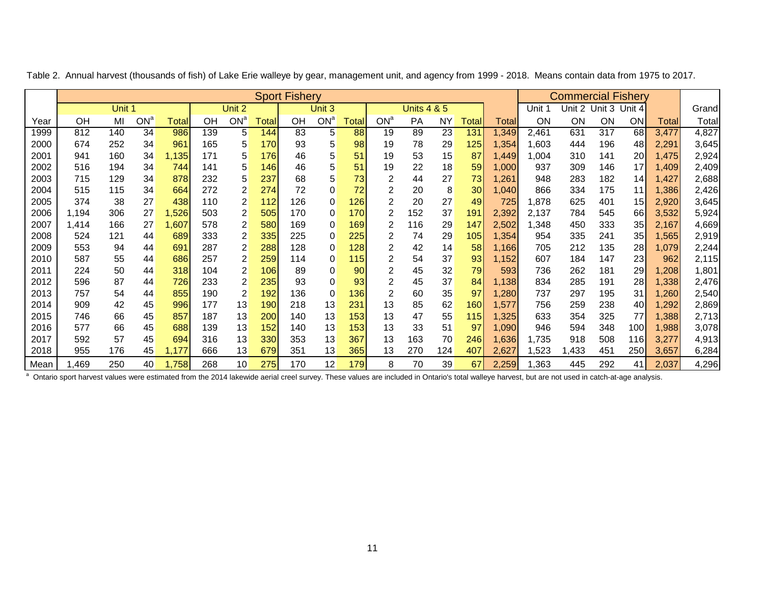|      |       |        | <b>Sport Fishery</b> |              |     |                 |       |     |                 |       |                |                        |     |                 | <b>Commercial Fishery</b> |        |               |     |                 |       |        |
|------|-------|--------|----------------------|--------------|-----|-----------------|-------|-----|-----------------|-------|----------------|------------------------|-----|-----------------|---------------------------|--------|---------------|-----|-----------------|-------|--------|
|      |       | Unit 1 |                      |              |     | Unit 2          |       |     | Unit 3          |       |                | <b>Units 4 &amp; 5</b> |     |                 |                           | Unit 1 | Unit 2 Unit 3 |     | Unit 4          |       | Grandl |
| Year | ΟH    | MI     | ON <sup>a</sup>      | <b>Total</b> | OН  | ON <sup>a</sup> | ⊺otal | OΗ  | ON <sup>a</sup> | Total | $ON^a$         | <b>PA</b>              | ΝY  | Total           | Totall                    | ON     | ON            | ON  | <b>ON</b>       | Total | Totall |
| 1999 | 812   | 140    | 34                   | 986          | 139 | 5               | 144   | 83  | 5               | 88    | 19             | 89                     | 23  | 131             | ,349                      | 2,461  | 631           | 317 | 68              | 3,477 | 4,827  |
| 2000 | 674   | 252    | 34                   | 961          | 165 | 5               | 170   | 93  | 5               | 98    | 19             | 78                     | 29  | 125             | 1,354                     | 1,603  | 444           | 196 | 48              | 2,291 | 3,645  |
| 2001 | 941   | 160    | 34                   | 1,135        | 171 | 5               | 176   | 46  | 5               | 51    | 19             | 53                     | 15  | 87              | 449, ا                    | 1,004  | 310           | 141 | 20 <sup>°</sup> | 1,475 | 2,924  |
| 2002 | 516   | 194    | 34                   | 744          | 141 | 5               | 146   | 46  | 5               | 51    | 19             | 22                     | 18  | 59              | 000, ا                    | 937    | 309           | 146 | 17              | 1,409 | 2,409  |
| 2003 | 715   | 129    | 34                   | 878          | 232 | 5               | 237   | 68  | 5               | 73    | 2              | 44                     | 27  | 73              | ,261                      | 948    | 283           | 182 | 14              | 1,427 | 2,688  |
| 2004 | 515   | 115    | 34                   | 664          | 272 | 2               | 274   | 72  | 0               | 72    | $\overline{2}$ | 20                     | 8   | 30 <sup>°</sup> | ,040                      | 866    | 334           | 175 | 11              | 1,386 | 2,426  |
| 2005 | 374   | 38     | 27                   | 438          | 110 | $\overline{2}$  | 112   | 126 | $\Omega$        | 126   | 2              | 20                     | 27  | 49              | 725                       | 1,878  | 625           | 401 | 15              | 2,920 | 3,645  |
| 2006 | 1,194 | 306    | 27                   | 1,526        | 503 | 2               | 505   | 170 | 0               | 170   | 2              | 152                    | 37  | 191             | 2,392                     | 2,137  | 784           | 545 | 66              | 3,532 | 5,924  |
| 2007 | 1,414 | 166    | 27                   | ,607         | 578 | 2               | 580   | 169 | 0               | 169   | 2              | 116                    | 29  | 147             | 2,502                     | 1,348  | 450           | 333 | 35 <sub>5</sub> | 2,167 | 4,669  |
| 2008 | 524   | 121    | 44                   | 689          | 333 | 2               | 335   | 225 | 0               | 225   | 2              | 74                     | 29  | 105             | 354. ا                    | 954    | 335           | 241 | 35              | 1,565 | 2,919  |
| 2009 | 553   | 94     | 44                   | 691          | 287 | 2               | 288   | 128 | 0               | 128   | 2              | 42                     | 14  | 58              | 1,166                     | 705    | 212           | 135 | 28              | 1,079 | 2,244  |
| 2010 | 587   | 55     | 44                   | 686          | 257 | 2               | 259   | 114 | 0               | 115   | 2              | 54                     | 37  | 93              | 1,152                     | 607    | 184           | 147 | 23              | 962   | 2,115  |
| 2011 | 224   | 50     | 44                   | 318          | 104 | 2               | 106   | 89  | 0               | 90    | 2              | 45                     | 32  | 79              | 593                       | 736    | 262           | 181 | 29              | ,208  | 1,801  |
| 2012 | 596   | 87     | 44                   | 726          | 233 | 2               | 235   | 93  | 0               | 93    | 2              | 45                     | 37  | 84              | 1,138                     | 834    | 285           | 191 | 28              | 1,338 | 2,476  |
| 2013 | 757   | 54     | 44                   | 855          | 190 | 2               | 192   | 136 | 0               | 136   | 2              | 60                     | 35  | 97              | ,280                      | 737    | 297           | 195 | 31              | 1,260 | 2,540  |
| 2014 | 909   | 42     | 45                   | 996          | 177 | 13              | 190   | 218 | 13              | 231   | 13             | 85                     | 62  | 160             | 1,577                     | 756    | 259           | 238 | 40              | 1,292 | 2,869  |
| 2015 | 746   | 66     | 45                   | 857          | 187 | 13              | 200   | 140 | 13              | 153   | 13             | 47                     | 55  | 115             | 1,325                     | 633    | 354           | 325 | 77              | 1,388 | 2,713  |
| 2016 | 577   | 66     | 45                   | 688          | 139 | 13              | 152   | 140 | 13              | 153   | 13             | 33                     | 51  | 97              | 1,090                     | 946    | 594           | 348 | 100             | 1,988 | 3,078  |
| 2017 | 592   | 57     | 45                   | 694          | 316 | 13              | 330   | 353 | 13              | 367   | 13             | 163                    | 70  | 246             | 1,636                     | 1,735  | 918           | 508 | 116l            | 3,277 | 4,913  |
| 2018 | 955   | 176    | 45                   | 1,177        | 666 | 13              | 679   | 351 | 13              | 365   | 13             | 270                    | 124 | 407             | 2,627                     | ,523   | ,433          | 451 | 250             | 3,657 | 6,284  |
| Mean | ,469  | 250    | 40                   | 1,758        | 268 | 10              | 275   | 170 | 12              | 179   | 8              | 70                     | 39  | 67              | 2,259                     | .363   | 445           | 292 | 41              | 2,037 | 4,296  |

Table 2. Annual harvest (thousands of fish) of Lake Erie walleye by gear, management unit, and agency from 1999 - 2018. Means contain data from 1975 to 2017.

<sup>a</sup> Ontario sport harvest values were estimated from the 2014 lakewide aerial creel survey. These values are included in Ontario's total walleye harvest, but are not used in catch-at-age analysis.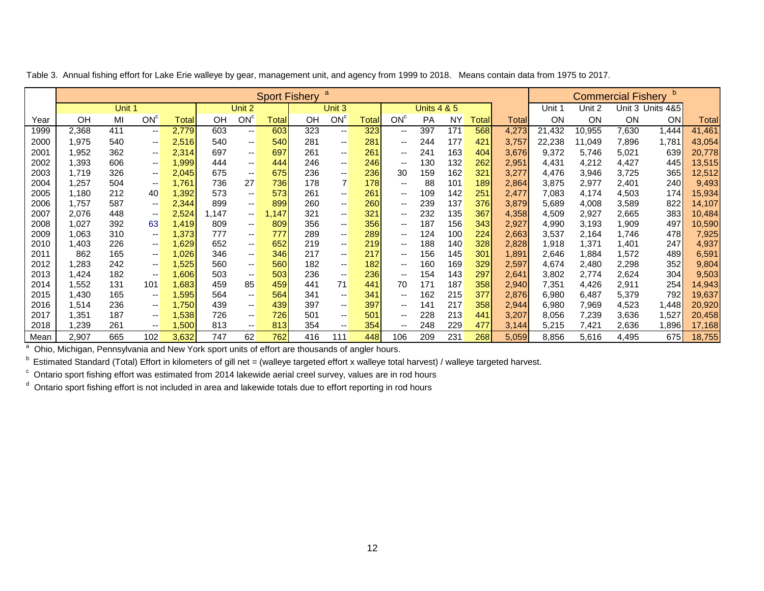|      | a<br><b>Sport Fishery</b> |        |                 |        |       |                          |       |     |                          |        |                          |                        |           |        |              |        | <b>Commercial Fishery</b> |           |                  |        |
|------|---------------------------|--------|-----------------|--------|-------|--------------------------|-------|-----|--------------------------|--------|--------------------------|------------------------|-----------|--------|--------------|--------|---------------------------|-----------|------------------|--------|
|      |                           | Unit 1 |                 |        |       | Unit 2                   |       |     | Unit 3                   |        |                          | <b>Units 4 &amp; 5</b> |           |        |              | Unit 1 | Unit 2                    |           | Unit 3 Units 4&5 |        |
| Year | OH                        | MI     | ON <sup>c</sup> | Totall | OH    | ON <sup>c</sup>          | Total | ΟH  | ON <sup>c</sup>          | Totall | ON <sup>c</sup>          | <b>PA</b>              | <b>NY</b> | Totall | <b>Total</b> | 0N     | 0N                        | <b>ON</b> | <b>ON</b>        | Totall |
| 1999 | 2,368                     | 411    | --              | 2,779  | 603   | $\overline{\phantom{a}}$ | 603   | 323 | $\overline{\phantom{a}}$ | 323    | --                       | 397                    | 171       | 568    | 4,273        | 21,432 | 10,955                    | 7,630     | 444, ا           | 41,461 |
| 2000 | 1,975                     | 540    | $- -$           | 2,516  | 540   | $\overline{\phantom{a}}$ | 540   | 281 | $- -$                    | 281    | --                       | 244                    | 177       | 421    | 3,757        | 22,238 | 11,049                    | 7,896     | 1,781            | 43,054 |
| 2001 | 952, ا                    | 362    | $- -$           | 2,314  | 697   | $\overline{\phantom{a}}$ | 697   | 261 | $\overline{\phantom{a}}$ | 261    | $\overline{\phantom{a}}$ | 241                    | 163       | 404    | 3,676        | 9,372  | 5,746                     | 5,021     | 639              | 20,778 |
| 2002 | 1,393                     | 606    | $- -$           | 1,999  | 444   | $\overline{\phantom{a}}$ | 444   | 246 | --                       | 246    | $\sim$                   | 130                    | 132       | 262    | 2,951        | 4,431  | 4,212                     | 4,427     | 445              | 13,515 |
| 2003 | 1,719                     | 326    | --              | 2,045  | 675   | $\overline{\phantom{a}}$ | 675   | 236 | --                       | 236    | 30                       | 159                    | 162       | 321    | 3,277        | 4,476  | 3,946                     | 3,725     | 365              | 12,512 |
| 2004 | ,257                      | 504    | --              | 1,761  | 736   | 27                       | 736   | 178 | 7                        | 178    | --                       | 88                     | 101       | 189    | 2,864        | 3,875  | 2,977                     | 2,401     | 240              | 9,493  |
| 2005 | 1,180                     | 212    | 40              | 1,392  | 573   | $\overline{\phantom{a}}$ | 573   | 261 | $\overline{\phantom{a}}$ | 261    | $\overline{\phantom{m}}$ | 109                    | 142       | 251    | 2,477        | 7,083  | 4,174                     | 4,503     | 174              | 15,934 |
| 2006 | 1,757                     | 587    | --              | 2,344  | 899   | $\overline{\phantom{a}}$ | 899   | 260 | $\overline{\phantom{a}}$ | 260    | $\overline{\phantom{m}}$ | 239                    | 137       | 376    | 3,879        | 5,689  | 4,008                     | 3,589     | 822              | 14,107 |
| 2007 | 2,076                     | 448    | $-1$            | 2,524  | 1.147 | $\overline{\phantom{a}}$ | .147  | 321 | $- -$                    | 321    | $\overline{\phantom{a}}$ | 232                    | 135       | 367    | 4,358        | 4,509  | 2,927                     | 2,665     | 383              | 10,484 |
| 2008 | 1,027                     | 392    | 63              | 1,419  | 809   | $\overline{\phantom{a}}$ | 809   | 356 | --                       | 356    | $\overline{\phantom{m}}$ | 187                    | 156       | 343    | 2,927        | 4,990  | 3,193                     | 1,909     | 497              | 10,590 |
| 2009 | 1,063                     | 310    | --              | 1,373  | 777   | --                       | 777   | 289 | --                       | 289    | $\overline{\phantom{m}}$ | 124                    | 100       | 224    | 2,663        | 3,537  | 2.164                     | 1,746     | 478              | 7,925  |
| 2010 | ,403                      | 226    | --              | ,629   | 652   | $\overline{\phantom{a}}$ | 652   | 219 | ۰.                       | 219    | $-$                      | 188                    | 140       | 328    | 2,828        | 1,918  | 1,371                     | 1,401     | 247              | 4,937  |
| 2011 | 862                       | 165    | $- -$           | 026, ا | 346   | $\overline{\phantom{a}}$ | 346   | 217 | ۰.                       | 217    | $\overline{\phantom{m}}$ | 156                    | 145       | 301    | 1,891        | 2,646  | 884. ا                    | 1,572     | 489              | 6,591  |
| 2012 | ,283                      | 242    | --              | ,525   | 560   | $\overline{\phantom{a}}$ | 560   | 182 | --                       | 182    | $\overline{\phantom{m}}$ | 160                    | 169       | 329    | 2,597        | 4,674  | 2,480                     | 2,298     | 352              | 9,804  |
| 2013 | ,424                      | 182    | --              | 1,606  | 503   | $\overline{\phantom{a}}$ | 503   | 236 | $\overline{\phantom{a}}$ | 236    | $\overline{\phantom{a}}$ | 154                    | 143       | 297    | 2,641        | 3,802  | 2,774                     | 2,624     | 304              | 9,503  |
| 2014 | ,552                      | 131    | 101             | 1,683  | 459   | 85                       | 459   | 441 | 71                       | 441    | 70                       | 171                    | 187       | 358    | 2,940        | 7,351  | 4,426                     | 2,911     | 254              | 14,943 |
| 2015 | 430, ا                    | 165    | $-1$            | 1,595  | 564   | $\overline{\phantom{a}}$ | 564   | 341 | $\overline{\phantom{a}}$ | 341    | $\overline{\phantom{a}}$ | 162                    | 215       | 377    | 2,876        | 6,980  | 6,487                     | 5,379     | 792              | 19,637 |
| 2016 | 514,ا                     | 236    | --              | ,750   | 439   | $\overline{\phantom{a}}$ | 439   | 397 | $\overline{\phantom{a}}$ | 397    | $\overline{\phantom{a}}$ | 141                    | 217       | 358    | 2,944        | 6,980  | 7,969                     | 4,523     | 448,             | 20,920 |
| 2017 | .351                      | 187    | $- -$           | ,538   | 726   | $\overline{\phantom{a}}$ | 726   | 501 | $- -$                    | 501    | $- -$                    | 228                    | 213       | 441    | 3,207        | 8,056  | 7,239                     | 3,636     | 1,527            | 20,458 |
| 2018 | ,239                      | 261    | $- -$           | ,500   | 813   | $\overline{\phantom{a}}$ | 813   | 354 | $\overline{\phantom{a}}$ | 354    | --                       | 248                    | 229       | 477    | 3,144        | 5,215  | 7,421                     | 2,636     | ,896             | 17,168 |
| Mean | 2,907                     | 665    | 102             | 3,632  | 747   | 62                       | 762   | 416 | 111                      | 448    | 106                      | 209                    | 231       | 268    | 5,059        | 8,856  | 5,616                     | 4,495     | 675              | 18,755 |

Table 3. Annual fishing effort for Lake Erie walleye by gear, management unit, and agency from 1999 to 2018. Means contain data from 1975 to 2017.

<sup>a</sup> Ohio, Michigan, Pennsylvania and New York sport units of effort are thousands of angler hours.

<sup>b</sup> Estimated Standard (Total) Effort in kilometers of gill net = (walleye targeted effort x walleye total harvest) / walleye targeted harvest.

 $\textdegree$  Ontario sport fishing effort was estimated from 2014 lakewide aerial creel survey, values are in rod hours

<sup>d</sup> Ontario sport fishing effort is not included in area and lakewide totals due to effort reporting in rod hours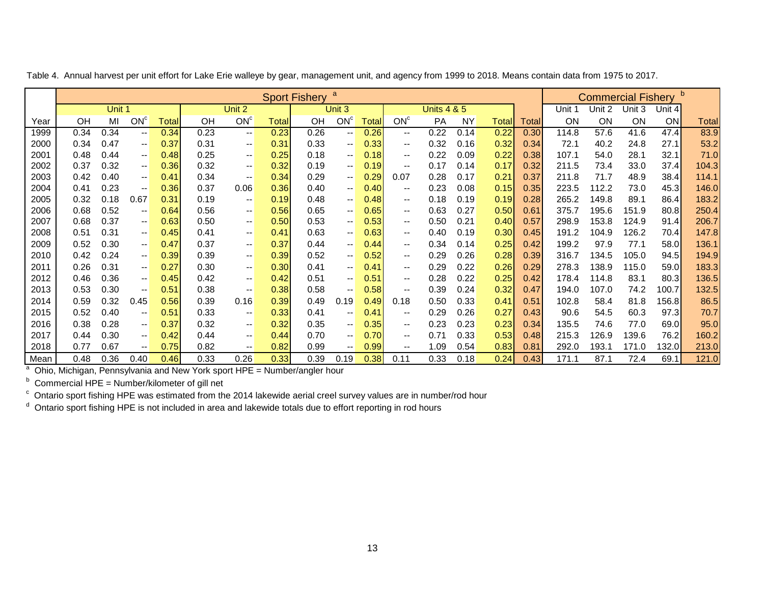|      |                                                                                                                                                                                                                                                   |        |                          |              |                                                                                                                            |                          |       | <b>Sport Fishery</b> | a                        |       |                          |                        |           |              |        |           | <b>Commercial Fishery</b> |           |        |              |
|------|---------------------------------------------------------------------------------------------------------------------------------------------------------------------------------------------------------------------------------------------------|--------|--------------------------|--------------|----------------------------------------------------------------------------------------------------------------------------|--------------------------|-------|----------------------|--------------------------|-------|--------------------------|------------------------|-----------|--------------|--------|-----------|---------------------------|-----------|--------|--------------|
|      |                                                                                                                                                                                                                                                   | Unit 1 |                          |              |                                                                                                                            | Unit 2                   |       |                      | Unit 3                   |       |                          | <b>Units 4 &amp; 5</b> |           |              |        | Unit 1    | Unit 2                    | Unit 3    | Unit 4 |              |
| Year | OH                                                                                                                                                                                                                                                | MI     | ON <sup>c</sup>          | <b>Total</b> | OH                                                                                                                         | ON <sup>c</sup>          | Total | <b>OH</b>            | ON <sup>c</sup>          | Total | ON <sup>c</sup>          | <b>PA</b>              | <b>NY</b> | <b>Total</b> | Totall | <b>ON</b> | <b>ON</b>                 | <b>ON</b> | ON     | <b>Total</b> |
| 1999 | 0.34                                                                                                                                                                                                                                              | 0.34   | $--$                     | 0.34         | 0.23                                                                                                                       | $\overline{\phantom{a}}$ | 0.23  | 0.26                 | $\overline{\phantom{a}}$ | 0.26  | $\overline{\phantom{a}}$ | 0.22                   | 0.14      | 0.22         | 0.30   | 114.8     | 57.6                      | 41.6      | 47.4   | 83.9         |
| 2000 | 0.34                                                                                                                                                                                                                                              | 0.47   | $--$                     | 0.37         | 0.31                                                                                                                       | $\overline{\phantom{a}}$ | 0.31  | 0.33                 | $\overline{\phantom{a}}$ | 0.33  | $\qquad \qquad -$        | 0.32                   | 0.16      | 0.32         | 0.34   | 72.1      | 40.2                      | 24.8      | 27.1   | 53.2         |
| 2001 | 0.48                                                                                                                                                                                                                                              | 0.44   | $- -$                    | 0.48         | 0.25                                                                                                                       | $\overline{\phantom{a}}$ | 0.25  | 0.18                 | $\overline{\phantom{a}}$ | 0.18  | $\overline{\phantom{a}}$ | 0.22                   | 0.09      | 0.22         | 0.38   | 107.1     | 54.0                      | 28.1      | 32.1   | 71.0         |
| 2002 | 0.37                                                                                                                                                                                                                                              | 0.32   | $\overline{\phantom{a}}$ | 0.36         | 0.32                                                                                                                       | $\overline{\phantom{a}}$ | 0.32  | 0.19                 | $\overline{\phantom{a}}$ | 0.19  | $\qquad \qquad -$        | 0.17                   | 0.14      | 0.17         | 0.32   | 211.5     | 73.4                      | 33.0      | 37.4   | 104.3        |
| 2003 | 0.42                                                                                                                                                                                                                                              | 0.40   | $\mathbf{u}$             | 0.41         | 0.34                                                                                                                       | $\overline{\phantom{a}}$ | 0.34  | 0.29                 | $\overline{\phantom{a}}$ | 0.29  | 0.07                     | 0.28                   | 0.17      | 0.21         | 0.37   | 211.8     | 71.7                      | 48.9      | 38.4   | 114.1        |
| 2004 | 0.23<br>146.0<br>0.41<br>0.36<br>0.37<br>0.06<br>0.36<br>0.40<br>0.40<br>0.23<br>0.08<br>0.15<br>0.35<br>223.5<br>112.2<br>73.0<br>45.3<br>$\overline{\phantom{a}}$<br>$\overline{\phantom{a}}$<br>$-$                                            |        |                          |              |                                                                                                                            |                          |       |                      |                          |       |                          |                        |           |              |        |           |                           |           |        |              |
| 2005 | 183.2<br>0.32<br>0.18<br>0.31<br>0.18<br>0.28<br>265.2<br>86.4<br>0.67<br>0.19<br>0.19<br>0.48<br>0.48<br>0.19<br>0.19<br>149.8<br>89.1<br>$\overline{\phantom{a}}$<br>$\overline{\phantom{a}}$<br>$\qquad \qquad -$                              |        |                          |              |                                                                                                                            |                          |       |                      |                          |       |                          |                        |           |              |        |           |                           |           |        |              |
| 2006 | 0.68<br>0.52<br>0.56<br>0.65<br>0.65<br>0.63<br>0.27<br>0.50<br>375.7<br>195.6<br>250.4<br>0.64<br>0.56<br>0.61<br>151.9<br>80.8<br>$\overline{\phantom{a}}$<br>$\mathbf{u}$<br>$\overline{\phantom{a}}$<br>$\overline{\phantom{a}}$              |        |                          |              |                                                                                                                            |                          |       |                      |                          |       |                          |                        |           |              |        |           |                           |           |        |              |
| 2007 | 0.37<br>0.53<br>206.7<br>0.68<br>0.63<br>0.50<br>0.53<br>0.50<br>0.21<br>0.40<br>0.57<br>298.9<br>153.8<br>124.9<br>91.4<br>0.50<br>$\overline{\phantom{a}}$<br>$\mathbf{u}$<br>$\overline{\phantom{a}}$<br>$\qquad \qquad -$                     |        |                          |              |                                                                                                                            |                          |       |                      |                          |       |                          |                        |           |              |        |           |                           |           |        |              |
| 2008 | 0.31<br>0.63<br>0.63<br>0.40<br>0.30<br>191.2<br>126.2<br>147.8<br>0.51<br>0.45<br>0.41<br>0.41<br>0.19<br>0.45<br>104.9<br>70.4<br>$\mathbf{u}$<br>$\overline{\phantom{a}}$<br>$\overline{\phantom{a}}$<br>$\qquad \qquad -$                     |        |                          |              |                                                                                                                            |                          |       |                      |                          |       |                          |                        |           |              |        |           |                           |           |        |              |
| 2009 | 0.52<br>0.30<br>0.47<br>0.37<br>0.34<br>0.25<br>0.42<br>199.2<br>97.9<br>136.1<br>0.37<br>0.44<br>0.44<br>0.14<br>77.1<br>58.0<br>$\overline{\phantom{a}}$<br>$- -$<br>$\overline{\phantom{a}}$<br>$\overline{\phantom{a}}$                       |        |                          |              |                                                                                                                            |                          |       |                      |                          |       |                          |                        |           |              |        |           |                           |           |        |              |
| 2010 | 0.42                                                                                                                                                                                                                                              | 0.24   | $\mathbf{u}$             | 0.39         | 0.39                                                                                                                       | $\overline{\phantom{a}}$ | 0.39  | 0.52                 | $\sim$                   | 0.52  | $\overline{\phantom{a}}$ | 0.29                   | 0.26      | 0.28         | 0.39   | 316.7     | 134.5                     | 105.0     | 94.5   | 194.9        |
| 2011 | 0.26                                                                                                                                                                                                                                              | 0.31   | $\mathbf{u}$             | 0.27         | 0.30                                                                                                                       | $\overline{\phantom{a}}$ | 0.30  | 0.41                 | $\overline{\phantom{a}}$ | 0.41  | $\qquad \qquad -$        | 0.29                   | 0.22      | 0.26         | 0.29   | 278.3     | 138.9                     | 115.0     | 59.0   | 183.3        |
| 2012 | 0.46                                                                                                                                                                                                                                              | 0.36   | $- -$                    | 0.45         | 0.42                                                                                                                       | $\overline{\phantom{a}}$ | 0.42  | 0.51                 | $\overline{\phantom{a}}$ | 0.51  | $-$                      | 0.28                   | 0.22      | 0.25         | 0.42   | 178.4     | 114.8                     | 83.1      | 80.3   | 136.5        |
| 2013 | 0.53                                                                                                                                                                                                                                              | 0.30   | $\overline{\phantom{a}}$ | 0.51         | 0.38                                                                                                                       | $\overline{\phantom{a}}$ | 0.38  | 0.58                 | $\overline{\phantom{a}}$ | 0.58  | $\overline{\phantom{a}}$ | 0.39                   | 0.24      | 0.32         | 0.47   | 194.0     | 107.0                     | 74.2      | 100.7  | 132.5        |
| 2014 | 0.59                                                                                                                                                                                                                                              | 0.32   | 0.45                     | 0.56         | 0.39                                                                                                                       | 0.16                     | 0.39  | 0.49                 | 0.19                     | 0.49  | 0.18                     | 0.50                   | 0.33      | 0.41         | 0.51   | 102.8     | 58.4                      | 81.8      | 156.8  | 86.5         |
| 2015 | 0.52                                                                                                                                                                                                                                              | 0.40   | $\mathbf{u}$             | 0.51         | 0.33                                                                                                                       | $\overline{\phantom{a}}$ | 0.33  | 0.41                 | $\mathbf{u}$             | 0.41  | $- -$                    | 0.29                   | 0.26      | 0.27         | 0.43   | 90.6      | 54.5                      | 60.3      | 97.3   | 70.7         |
| 2016 | 0.23<br>95.0<br>0.38<br>0.28<br>0.37<br>0.32<br>0.32<br>0.35<br>0.35<br>0.23<br>0.23<br>135.5<br>74.6<br>69.0<br>0.34<br>77.0<br>$\overline{\phantom{a}}$<br>$\mathbf{u}$<br>$\overline{\phantom{a}}$<br>$\overline{\phantom{a}}$                 |        |                          |              |                                                                                                                            |                          |       |                      |                          |       |                          |                        |           |              |        |           |                           |           |        |              |
| 2017 | 0.44<br>0.30<br>0.42<br>0.70<br>0.70<br>0.71<br>0.33<br>0.53<br>215.3<br>126.9<br>139.6<br>76.2<br>160.2<br>0.44<br>0.44<br>0.48<br>$\overline{\phantom{a}}$<br>$\overline{\phantom{a}}$<br>$\overline{\phantom{a}}$<br>$\overline{\phantom{a}}$  |        |                          |              |                                                                                                                            |                          |       |                      |                          |       |                          |                        |           |              |        |           |                           |           |        |              |
| 2018 | 213.0<br>0.77<br>0.67<br>0.75<br>0.82<br>0.82<br>0.99<br>0.99<br>1.09<br>0.54<br>0.83<br>0.81<br>292.0<br>193.1<br>171.0<br>132.0<br>$\overline{\phantom{a}}$<br>$\overline{\phantom{a}}$<br>$\overline{\phantom{m}}$<br>$\overline{\phantom{a}}$ |        |                          |              |                                                                                                                            |                          |       |                      |                          |       |                          |                        |           |              |        |           |                           |           |        |              |
| Mean | 121.0<br>0.36<br>0.33<br>0.26<br>0.33<br>0.39<br>0.38<br>0.33<br>0.24<br>0.43<br>171.1<br>87.1<br>72.4<br>69.1<br>0.48<br>0.40<br>0.46<br>0.19<br>0.11<br>0.18                                                                                    |        |                          |              |                                                                                                                            |                          |       |                      |                          |       |                          |                        |           |              |        |           |                           |           |        |              |
|      | Ohio, Michigan, Pennsylvania and New York sport HPE = Number/angler hour                                                                                                                                                                          |        |                          |              |                                                                                                                            |                          |       |                      |                          |       |                          |                        |           |              |        |           |                           |           |        |              |
|      | Commercial HPE = Number/kilometer of gill net                                                                                                                                                                                                     |        |                          |              |                                                                                                                            |                          |       |                      |                          |       |                          |                        |           |              |        |           |                           |           |        |              |
|      |                                                                                                                                                                                                                                                   |        |                          |              | $\degree$ Ontario sport fishing HPE was estimated from the 2014 lakewide aerial creel survey values are in number/rod hour |                          |       |                      |                          |       |                          |                        |           |              |        |           |                           |           |        |              |

Table 4. Annual harvest per unit effort for Lake Erie walleye by gear, management unit, and agency from 1999 to 2018. Means contain data from 1975 to 2017.

<sup>d</sup> Ontario sport fishing HPE is not included in area and lakewide totals due to effort reporting in rod hours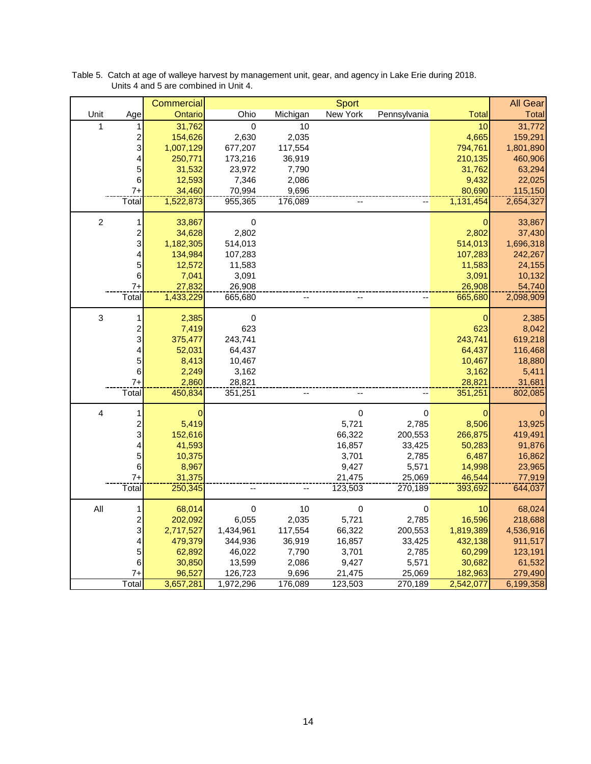|                  |                         | Commercial  |              |          | Sport           |              |             | <b>All Gear</b> |
|------------------|-------------------------|-------------|--------------|----------|-----------------|--------------|-------------|-----------------|
| Unit             | Age                     | Ontario     | Ohio         | Michigan | <b>New York</b> | Pennsylvania | Total       | <b>Total</b>    |
| 1                | 1                       | 31,762      | $\mathbf{0}$ | 10       |                 |              | 10          | 31,772          |
|                  | 2                       | 154,626     | 2,630        | 2,035    |                 |              | 4,665       | 159,291         |
|                  | 3                       | 1,007,129   | 677,207      | 117,554  |                 |              | 794,761     | 1,801,890       |
|                  | 4                       | 250,771     | 173,216      | 36,919   |                 |              | 210,135     | 460,906         |
|                  | 5                       | 31,532      | 23,972       | 7,790    |                 |              | 31,762      | 63,294          |
|                  | 6                       | 12,593      | 7,346        | 2,086    |                 |              | 9,432       | 22,025          |
|                  | $7+$                    | 34,460      | 70,994       | 9,696    |                 |              | 80,690      | 115,150         |
|                  | Total                   | 1,522,873   | 955,365      | 176,089  |                 |              | 1,131,454   | 2,654,327       |
|                  |                         |             |              |          |                 |              |             |                 |
| $\boldsymbol{2}$ | 1                       | 33,867      | $\pmb{0}$    |          |                 |              | 0           | 33,867          |
|                  | $\overline{\mathbf{c}}$ | 34,628      | 2,802        |          |                 |              | 2,802       | 37,430          |
|                  | 3                       | 1,182,305   | 514,013      |          |                 |              | 514,013     | 1,696,318       |
|                  | 4                       | 134,984     | 107,283      |          |                 |              | 107,283     | 242,267         |
|                  | 5                       | 12,572      | 11,583       |          |                 |              | 11,583      | 24,155          |
|                  | 6                       | 7,041       | 3,091        |          |                 |              | 3,091       | 10,132          |
|                  | $7+$                    | 27,832      | 26,908       |          |                 |              | 26,908      | 54,740          |
|                  | Total                   | 1,433,229   | 665,680      |          |                 |              | 665,680     | 2,098,909       |
| $\mathsf 3$      | 1                       | 2,385       | $\pmb{0}$    |          |                 |              | $\mathbf 0$ | 2,385           |
|                  | $\overline{c}$          | 7,419       | 623          |          |                 |              | 623         | 8,042           |
|                  | 3                       | 375,477     | 243,741      |          |                 |              | 243,741     | 619,218         |
|                  | 4                       | 52,031      | 64,437       |          |                 |              | 64,437      | 116,468         |
|                  | 5                       | 8,413       | 10,467       |          |                 |              | 10,467      | 18,880          |
|                  | 6                       | 2,249       | 3,162        |          |                 |              | 3,162       | 5,411           |
|                  | $7+$                    | 2,860       | 28,821       |          |                 |              | 28,821      | 31,681          |
|                  | Total                   | 450,834     | 351,251      |          |                 |              | 351,251     | 802,085         |
| $\overline{4}$   |                         | $\mathbf 0$ |              |          | $\pmb{0}$       | $\,0\,$      | 0           | $\mathbf 0$     |
|                  | $\overline{\mathbf{c}}$ | 5,419       |              |          | 5,721           | 2,785        | 8,506       | 13,925          |
|                  | 3                       | 152,616     |              |          | 66,322          | 200,553      | 266,875     | 419,491         |
|                  | 4                       | 41,593      |              |          | 16,857          | 33,425       | 50,283      | 91,876          |
|                  | $\mathbf 5$             | 10,375      |              |          | 3,701           | 2,785        | 6,487       | 16,862          |
|                  | 6                       | 8,967       |              |          | 9,427           | 5,571        | 14,998      | 23,965          |
|                  | $7+$                    | 31,375      |              |          | 21,475          | 25,069       | 46,544      | 77,919          |
|                  | Total                   | 250,345     |              |          | 123,503         | 270,189      | 393,692     | 644,037         |
|                  |                         |             |              |          |                 |              |             |                 |
| $\mathsf{All}$   | 1                       | 68,014      | $\mathbf 0$  | 10       | $\pmb{0}$       | $\pmb{0}$    | 10          | 68,024          |
|                  | 2                       | 202,092     | 6,055        | 2,035    | 5,721           | 2,785        | 16,596      | 218,688         |
|                  | 3                       | 2,717,527   | 1,434,961    | 117,554  | 66,322          | 200,553      | 1,819,389   | 4,536,916       |
|                  | 4                       | 479,379     | 344,936      | 36,919   | 16,857          | 33,425       | 432,138     | 911,517         |
|                  | 5                       | 62,892      | 46,022       | 7,790    | 3,701           | 2,785        | 60,299      | 123,191         |
|                  | $\,6$                   | 30,850      | 13,599       | 2,086    | 9,427           | 5,571        | 30,682      | 61,532          |
|                  | $7+$                    | 96,527      | 126,723      | 9,696    | 21,475          | 25,069       | 182,963     | 279,490         |
|                  | Total                   | 3,657,281   | 1,972,296    | 176,089  | 123,503         | 270,189      | 2,542,077   | 6,199,358       |

Table 5. Catch at age of walleye harvest by management unit, gear, and agency in Lake Erie during 2018. Units 4 and 5 are combined in Unit 4.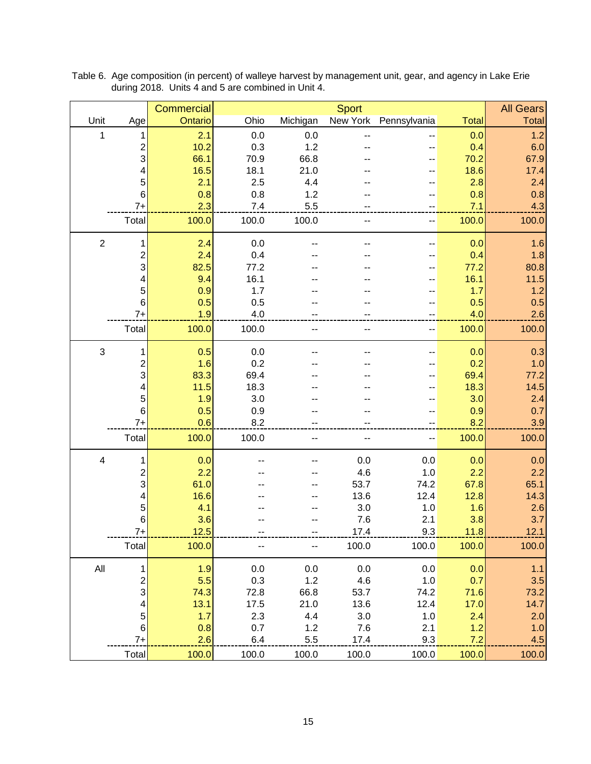|                           |                | Commercial |       |          | <b>Sport</b> |                       |              | <b>All Gears</b> |
|---------------------------|----------------|------------|-------|----------|--------------|-----------------------|--------------|------------------|
| Unit                      | Age            | Ontario    | Ohio  | Michigan |              | New York Pennsylvania | <b>Total</b> | Total            |
| 1                         | 1              | 2.1        | 0.0   | 0.0      |              |                       | 0.0          | 1.2              |
|                           | $\overline{c}$ | 10.2       | 0.3   | 1.2      |              |                       | 0.4          | 6.0              |
|                           | 3              | 66.1       | 70.9  | 66.8     |              |                       | 70.2         | 67.9             |
|                           | 4              | 16.5       | 18.1  | 21.0     |              |                       | 18.6         | 17.4             |
|                           | 5              | 2.1        | 2.5   | 4.4      |              |                       | 2.8          | 2.4              |
|                           | 6              | 0.8        | 0.8   | 1.2      |              |                       | 0.8          | 0.8              |
|                           | $7+$           | 2.3        | 7.4   | 5.5      |              |                       | 7.1          | 4.3              |
|                           | Total          | 100.0      | 100.0 | 100.0    |              |                       | 100.0        | 100.0            |
| $\overline{2}$            | 1              | 2.4        | 0.0   |          |              |                       | 0.0          | 1.6              |
|                           | $\overline{c}$ | 2.4        | 0.4   |          |              |                       | 0.4          | 1.8              |
|                           | 3              | 82.5       | 77.2  |          |              |                       | 77.2         | 80.8             |
|                           | 4              | 9.4        | 16.1  |          |              |                       | 16.1         | $11.5$           |
|                           | 5              | 0.9        | 1.7   |          |              |                       | 1.7          | 1.2              |
|                           | 6              | 0.5        | 0.5   |          |              |                       | 0.5          | 0.5              |
|                           | $7+$           | 1.9        | 4.0   |          |              |                       | 4.0          | 2.6              |
|                           | Total          | 100.0      | 100.0 |          |              | ٠.                    | 100.0        | 100.0            |
| $\ensuremath{\mathsf{3}}$ | 1              | 0.5        | 0.0   |          |              |                       | 0.0          | 0.3              |
|                           | 2              | 1.6        | 0.2   |          |              |                       | 0.2          | 1.0              |
|                           | 3              | 83.3       | 69.4  |          |              |                       | 69.4         | 77.2             |
|                           | 4              | 11.5       | 18.3  |          |              |                       | 18.3         | 14.5             |
|                           | 5              | 1.9        | 3.0   |          |              |                       | 3.0          | 2.4              |
|                           | 6              | 0.5        | 0.9   |          |              |                       | 0.9          | 0.7              |
|                           | $7+$           | 0.6        | 8.2   |          |              |                       | 8.2          | 3.9              |
|                           | Total          | 100.0      | 100.0 |          |              |                       | 100.0        | 100.0            |
| $\overline{\mathbf{4}}$   | 1              | 0.0        |       |          | 0.0          | 0.0                   | 0.0          | 0.0              |
|                           | 2              | 2.2        |       |          | 4.6          | 1.0                   | 2.2          | 2.2              |
|                           | 3              | 61.0       |       |          | 53.7         | 74.2                  | 67.8         | 65.1             |
|                           | 4              | 16.6       |       |          | 13.6         | 12.4                  | 12.8         | 14.3             |
|                           | 5              | 4.1        |       |          | 3.0          | 1.0                   | 1.6          | 2.6              |
|                           | 6              | 3.6        |       |          | 7.6          | 2.1                   | 3.8          | 3.7              |
|                           | $7+$           | 12.5       |       |          | 17.4         | 9.3                   | 11.8         | 12.1             |
|                           | Total          | 100.0      |       |          | 100.0        | 100.0                 | 100.0        | 100.0            |
| All                       | 1              | 1.9        | 0.0   | 0.0      | 0.0          | $0.0\,$               | 0.0          | 1.1              |
|                           | $\frac{2}{3}$  | 5.5        | 0.3   | 1.2      | 4.6          | 1.0                   | 0.7          | 3.5              |
|                           |                | 74.3       | 72.8  | 66.8     | 53.7         | 74.2                  | 71.6         | 73.2             |
|                           | 4              | 13.1       | 17.5  | 21.0     | 13.6         | 12.4                  | 17.0         | 14.7             |
|                           | 5              | 1.7        | 2.3   | 4.4      | 3.0          | 1.0                   | 2.4          | 2.0              |
|                           | $6\phantom{1}$ | 0.8        | 0.7   | 1.2      | 7.6          | 2.1                   | 1.2          | 1.0              |
|                           | $7+$           | 2.6        | 6.4   | 5.5      | 17.4         | 9.3                   | 7.2          | 4.5              |
|                           | Total          | 100.0      | 100.0 | 100.0    | 100.0        | 100.0                 | 100.0        | 100.0            |

Table 6. Age composition (in percent) of walleye harvest by management unit, gear, and agency in Lake Erie during 2018. Units 4 and 5 are combined in Unit 4.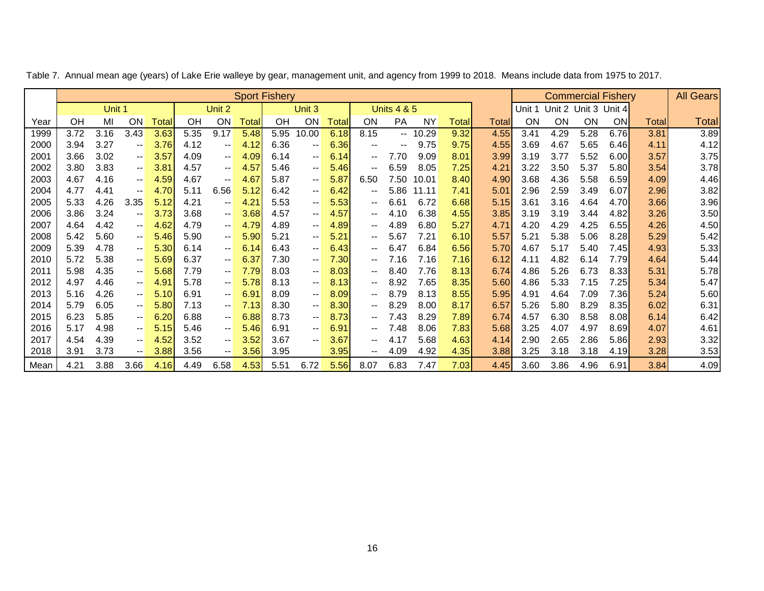|      | <b>Sport Fishery</b> |        |                          |                       |      |                          |       |      |                          |               |                          |                          |           |       |              |        | <b>Commercial Fishery</b> |      |           |       | <b>All Gears</b> |
|------|----------------------|--------|--------------------------|-----------------------|------|--------------------------|-------|------|--------------------------|---------------|--------------------------|--------------------------|-----------|-------|--------------|--------|---------------------------|------|-----------|-------|------------------|
|      |                      | Unit 1 |                          |                       |      | Unit 2                   |       |      | Unit 3                   |               |                          | <b>Units 4 &amp; 5</b>   |           |       |              | Unit 1 | Unit 2 Unit 3 Unit 4      |      |           |       |                  |
| Year | OH                   | MI     | OΝ                       | Total                 | OH   | ON                       | Total | OH   | ON                       | Total         | ON                       | PA                       | <b>NY</b> | Total | <b>Total</b> | ON     | ON                        | ON   | <b>ON</b> | Total | <b>Total</b>     |
| 1999 | 3.72                 | 3.16   | 3.43                     | 3.63                  | 5.35 | 9.17                     | 5.48  | 5.95 | 10.00                    | 6.18          | 8.15                     | $- -$                    | 10.29     | 9.32  | 4.55         | 3.41   | 4.29                      | 5.28 | 6.76      | 3.81  | 3.89             |
| 2000 | 3.94                 | 3.27   | $\overline{\phantom{a}}$ | 3.76                  | 4.12 | $\overline{\phantom{m}}$ | 4.12  | 6.36 | $\overline{\phantom{m}}$ | 6.36          | $\overline{\phantom{m}}$ | $\overline{\phantom{a}}$ | 9.75      | 9.75  | 4.55         | 3.69   | 4.67                      | 5.65 | 6.46      | 4.11  | 4.12             |
| 2001 | 3.66                 | 3.02   | $\qquad \qquad -$        | 3.57                  | 4.09 | $\overline{\phantom{a}}$ | 4.09  | 6.14 | $\overline{\phantom{m}}$ | 6.14          | $\overline{\phantom{a}}$ | 7.70                     | 9.09      | 8.01  | 3.99         | 3.19   | 3.77                      | 5.52 | 6.00      | 3.57  | 3.75             |
| 2002 | 3.80                 | 3.83   | $\overline{\phantom{a}}$ | 3.81                  | 4.57 | $\sim$ $-$               | 4.57  | 5.46 | $\overline{\phantom{m}}$ | 5.46          | $\overline{\phantom{m}}$ | 6.59                     | 8.05      | 7.25  | 4.21         | 3.22   | 3.50                      | 5.37 | 5.80      | 3.54  | 3.78             |
| 2003 | 4.67                 | 4.16   | $\overline{\phantom{a}}$ | 4.59                  | 4.67 | $- -$                    | 4.67  | 5.87 | $\overline{\phantom{a}}$ | 5.87          | 6.50                     | 7.50                     | 10.01     | 8.40  | 4.90         | 3.68   | 4.36                      | 5.58 | 6.59      | 4.09  | 4.46             |
| 2004 | 4.77                 | 4.41   | $- -$                    | 4.70                  | 5.11 | 6.56                     | 5.12  | 6.42 | $\overline{\phantom{m}}$ | 6.42          | $\overline{\phantom{m}}$ | 5.86                     | 11.11     | 7.41  | 5.01         | 2.96   | 2.59                      | 3.49 | 6.07      | 2.96  | 3.82             |
| 2005 | 5.33                 | 4.26   | 3.35                     | 5.12                  | 4.21 | $\overline{\phantom{m}}$ | 4.21  | 5.53 | $\overline{\phantom{a}}$ | 5.53          | $\overline{\phantom{a}}$ | 6.61                     | 6.72      | 6.68  | 5.15         | 3.61   | 3.16                      | 4.64 | 4.70      | 3.66  | 3.96             |
| 2006 | 3.86                 | 3.24   | $\overline{\phantom{a}}$ | 3.73                  | 3.68 | $\overline{\phantom{m}}$ | 3.68  | 4.57 | $\overline{\phantom{m}}$ | 4.57          | $\overline{\phantom{a}}$ | 4.10                     | 6.38      | 4.55  | 3.85         | 3.19   | 3.19                      | 3.44 | 4.82      | 3.26  | 3.50             |
| 2007 | 4.64                 | 4.42   | $\overline{\phantom{a}}$ | 4.62                  | 4.79 | $\sim$ $-$               | 4.79  | 4.89 | $\overline{\phantom{m}}$ | 4.89          | $\overline{\phantom{m}}$ | 4.89                     | 6.80      | 5.27  | 4.71         | 4.20   | 4.29                      | 4.25 | 6.55      | 4.26  | 4.50             |
| 2008 | 5.42                 | 5.60   | $\overline{\phantom{a}}$ | 5 <sub>5</sub><br>.46 | 5.90 | $\overline{\phantom{a}}$ | 5.90  | 5.21 | $\overline{\phantom{a}}$ | $5.2^{\circ}$ | $\overline{\phantom{m}}$ | 5.67                     | 7.21      | 6.10  | 5.57         | 5.21   | 5.38                      | 5.06 | 8.28      | 5.29  | 5.42             |
| 2009 | 5.39                 | 4.78   | $\overline{\phantom{a}}$ | 5.30                  | 6.14 | $\sim$ $-$               | 6.14  | 6.43 | $\overline{\phantom{m}}$ | 6.43          | $\overline{\phantom{m}}$ | 6.47                     | 6.84      | 6.56  | 5.70         | 4.67   | 5.17                      | 5.40 | 7.45      | 4.93  | 5.33             |
| 2010 | 5.72                 | 5.38   | $\overline{\phantom{a}}$ | 5.69                  | 6.37 | $\overline{\phantom{a}}$ | 6.37  | 7.30 | $\overline{\phantom{a}}$ | 7.30          | $\overline{\phantom{m}}$ | 7.16                     | 7.16      | 7.16  | 6.12         | 4.11   | 4.82                      | 6.14 | 7.79      | 4.64  | 5.44             |
| 2011 | 5.98                 | 4.35   | $\overline{\phantom{a}}$ | 5.68                  | 7.79 | $\overline{\phantom{m}}$ | 7.79  | 8.03 | $\overline{\phantom{a}}$ | 8.03          | $\overline{\phantom{m}}$ | 8.40                     | 7.76      | 8.13  | 6.74         | 4.86   | 5.26                      | 6.73 | 8.33      | 5.31  | 5.78             |
| 2012 | 4.97                 | 4.46   | $\overline{\phantom{a}}$ | 4.91                  | 5.78 | $-\,-$                   | 5.78  | 8.13 | $\overline{\phantom{m}}$ | 8.13          | $\overline{\phantom{m}}$ | 8.92                     | 7.65      | 8.35  | 5.60         | 4.86   | 5.33                      | 7.15 | 7.25      | 5.34  | 5.47             |
| 2013 | 5.16                 | 4.26   | -- 1                     | 5.10                  | 6.91 | $\overline{\phantom{a}}$ | 6.91  | 8.09 | $\overline{\phantom{a}}$ | 8.09          | $\overline{\phantom{m}}$ | 8.79                     | 8.13      | 8.55  | 5.95         | 4.91   | 4.64                      | 7.09 | 7.36      | 5.24  | 5.60             |
| 2014 | 5.79                 | 6.05   | $\overline{\phantom{a}}$ | 5.80                  | 7.13 | $\overline{\phantom{m}}$ | 7.13  | 8.30 | $\overline{\phantom{a}}$ | 8.30          | $\overline{\phantom{m}}$ | 8.29                     | 8.00      | 8.17  | 6.57         | 5.26   | 5.80                      | 8.29 | 8.35      | 6.02  | 6.31             |
| 2015 | 6.23                 | 5.85   | -- 1                     | 6.20                  | 6.88 | $-\,-$                   | 6.88  | 8.73 | $\overline{\phantom{a}}$ | 8.73          | $\overline{\phantom{m}}$ | 7.43                     | 8.29      | 7.89  | 6.74         | 4.57   | 6.30                      | 8.58 | 8.08      | 6.14  | 6.42             |
| 2016 | 5.17                 | 4.98   | -- 1                     | 5.15                  | 5.46 | $\overline{\phantom{a}}$ | 5.46  | 6.91 | $-\,-$                   | 6.91          | $\overline{\phantom{m}}$ | 7.48                     | 8.06      | 7.83  | 5.68         | 3.25   | 4.07                      | 4.97 | 8.69      | 4.07  | 4.61             |
| 2017 | 4.54                 | 4.39   | $\overline{\phantom{a}}$ | 4.52                  | 3.52 | $\overline{\phantom{a}}$ | 3.52  | 3.67 | $\overline{\phantom{m}}$ | 3.67          | $\overline{\phantom{a}}$ | 4.17                     | 5.68      | 4.63  | 4.14         | 2.90   | 2.65                      | 2.86 | 5.86      | 2.93  | 3.32             |
| 2018 | 3.91                 | 3.73   | -- 1                     | 3.88                  | 3.56 | $\overline{\phantom{a}}$ | 3.56  | 3.95 |                          | 3.95          | $\overline{\phantom{a}}$ | 4.09                     | 4.92      | 4.35  | 3.88         | 3.25   | 3.18                      | 3.18 | 4.19      | 3.28  | 3.53             |
| Mean | 4.21                 | 3.88   | 3.66                     | 4.16                  | 4.49 | 6.58                     | 4.53  | 5.51 | 6.72                     | 5.56          | 8.07                     | 6.83                     | 7.47      | 7.03  | 4.45         | 3.60   | 3.86                      | 4.96 | 6.91      | 3.84  | 4.09             |

Table 7. Annual mean age (years) of Lake Erie walleye by gear, management unit, and agency from 1999 to 2018. Means include data from 1975 to 2017.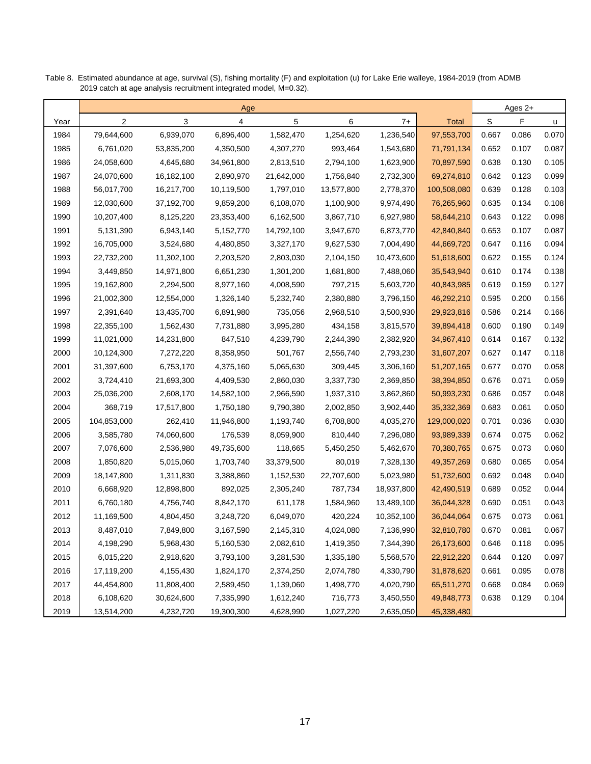|      |             |            | Age        |            |            |            |              |       | Ages 2+ |       |
|------|-------------|------------|------------|------------|------------|------------|--------------|-------|---------|-------|
| Year | 2           | 3          | 4          | 5          | 6          | $7+$       | <b>Total</b> | S     | F       | u     |
| 1984 | 79,644,600  | 6,939,070  | 6,896,400  | 1,582,470  | 1,254,620  | 1,236,540  | 97,553,700   | 0.667 | 0.086   | 0.070 |
| 1985 | 6,761,020   | 53,835,200 | 4,350,500  | 4,307,270  | 993,464    | 1,543,680  | 71,791,134   | 0.652 | 0.107   | 0.087 |
| 1986 | 24,058,600  | 4,645,680  | 34,961,800 | 2,813,510  | 2,794,100  | 1,623,900  | 70,897,590   | 0.638 | 0.130   | 0.105 |
| 1987 | 24,070,600  | 16,182,100 | 2,890,970  | 21,642,000 | 1,756,840  | 2,732,300  | 69,274,810   | 0.642 | 0.123   | 0.099 |
| 1988 | 56,017,700  | 16,217,700 | 10,119,500 | 1,797,010  | 13,577,800 | 2,778,370  | 100,508,080  | 0.639 | 0.128   | 0.103 |
| 1989 | 12,030,600  | 37,192,700 | 9,859,200  | 6,108,070  | 1,100,900  | 9,974,490  | 76,265,960   | 0.635 | 0.134   | 0.108 |
| 1990 | 10,207,400  | 8,125,220  | 23,353,400 | 6,162,500  | 3,867,710  | 6,927,980  | 58,644,210   | 0.643 | 0.122   | 0.098 |
| 1991 | 5,131,390   | 6,943,140  | 5,152,770  | 14,792,100 | 3,947,670  | 6,873,770  | 42,840,840   | 0.653 | 0.107   | 0.087 |
| 1992 | 16,705,000  | 3,524,680  | 4,480,850  | 3,327,170  | 9,627,530  | 7,004,490  | 44,669,720   | 0.647 | 0.116   | 0.094 |
| 1993 | 22,732,200  | 11,302,100 | 2,203,520  | 2,803,030  | 2,104,150  | 10,473,600 | 51,618,600   | 0.622 | 0.155   | 0.124 |
| 1994 | 3,449,850   | 14,971,800 | 6,651,230  | 1,301,200  | 1,681,800  | 7,488,060  | 35,543,940   | 0.610 | 0.174   | 0.138 |
| 1995 | 19,162,800  | 2,294,500  | 8,977,160  | 4,008,590  | 797,215    | 5,603,720  | 40,843,985   | 0.619 | 0.159   | 0.127 |
| 1996 | 21,002,300  | 12,554,000 | 1,326,140  | 5,232,740  | 2,380,880  | 3,796,150  | 46,292,210   | 0.595 | 0.200   | 0.156 |
| 1997 | 2,391,640   | 13,435,700 | 6,891,980  | 735,056    | 2,968,510  | 3,500,930  | 29,923,816   | 0.586 | 0.214   | 0.166 |
| 1998 | 22,355,100  | 1,562,430  | 7,731,880  | 3,995,280  | 434,158    | 3,815,570  | 39,894,418   | 0.600 | 0.190   | 0.149 |
| 1999 | 11,021,000  | 14,231,800 | 847,510    | 4,239,790  | 2,244,390  | 2,382,920  | 34,967,410   | 0.614 | 0.167   | 0.132 |
| 2000 | 10,124,300  | 7,272,220  | 8,358,950  | 501,767    | 2,556,740  | 2,793,230  | 31,607,207   | 0.627 | 0.147   | 0.118 |
| 2001 | 31,397,600  | 6,753,170  | 4,375,160  | 5,065,630  | 309,445    | 3,306,160  | 51,207,165   | 0.677 | 0.070   | 0.058 |
| 2002 | 3,724,410   | 21,693,300 | 4,409,530  | 2,860,030  | 3,337,730  | 2,369,850  | 38,394,850   | 0.676 | 0.071   | 0.059 |
| 2003 | 25,036,200  | 2,608,170  | 14,582,100 | 2,966,590  | 1,937,310  | 3,862,860  | 50,993,230   | 0.686 | 0.057   | 0.048 |
| 2004 | 368,719     | 17,517,800 | 1,750,180  | 9,790,380  | 2,002,850  | 3,902,440  | 35,332,369   | 0.683 | 0.061   | 0.050 |
| 2005 | 104,853,000 | 262,410    | 11,946,800 | 1,193,740  | 6,708,800  | 4,035,270  | 129,000,020  | 0.701 | 0.036   | 0.030 |
| 2006 | 3,585,780   | 74,060,600 | 176,539    | 8,059,900  | 810,440    | 7,296,080  | 93,989,339   | 0.674 | 0.075   | 0.062 |
| 2007 | 7,076,600   | 2,536,980  | 49,735,600 | 118,665    | 5,450,250  | 5,462,670  | 70,380,765   | 0.675 | 0.073   | 0.060 |
| 2008 | 1,850,820   | 5,015,060  | 1,703,740  | 33,379,500 | 80,019     | 7,328,130  | 49, 357, 269 | 0.680 | 0.065   | 0.054 |
| 2009 | 18,147,800  | 1,311,830  | 3,388,860  | 1,152,530  | 22,707,600 | 5,023,980  | 51,732,600   | 0.692 | 0.048   | 0.040 |
| 2010 | 6,668,920   | 12,898,800 | 892,025    | 2,305,240  | 787,734    | 18,937,800 | 42,490,519   | 0.689 | 0.052   | 0.044 |
| 2011 | 6,760,180   | 4,756,740  | 8,842,170  | 611,178    | 1,584,960  | 13,489,100 | 36,044,328   | 0.690 | 0.051   | 0.043 |
| 2012 | 11,169,500  | 4,804,450  | 3,248,720  | 6,049,070  | 420,224    | 10,352,100 | 36,044,064   | 0.675 | 0.073   | 0.061 |
| 2013 | 8,487,010   | 7,849,800  | 3,167,590  | 2,145,310  | 4,024,080  | 7,136,990  | 32,810,780   | 0.670 | 0.081   | 0.067 |
| 2014 | 4,198,290   | 5,968,430  | 5,160,530  | 2,082,610  | 1,419,350  | 7,344,390  | 26,173,600   | 0.646 | 0.118   | 0.095 |
| 2015 | 6,015,220   | 2,918,620  | 3,793,100  | 3,281,530  | 1,335,180  | 5,568,570  | 22,912,220   | 0.644 | 0.120   | 0.097 |
| 2016 | 17,119,200  | 4,155,430  | 1,824,170  | 2,374,250  | 2,074,780  | 4,330,790  | 31,878,620   | 0.661 | 0.095   | 0.078 |
| 2017 | 44,454,800  | 11,808,400 | 2,589,450  | 1,139,060  | 1,498,770  | 4,020,790  | 65,511,270   | 0.668 | 0.084   | 0.069 |
| 2018 | 6,108,620   | 30,624,600 | 7,335,990  | 1,612,240  | 716,773    | 3,450,550  | 49,848,773   | 0.638 | 0.129   | 0.104 |
| 2019 | 13,514,200  | 4,232,720  | 19,300,300 | 4,628,990  | 1,027,220  | 2,635,050  | 45,338,480   |       |         |       |

Table 8. Estimated abundance at age, survival (S), fishing mortality (F) and exploitation (u) for Lake Erie walleye, 1984-2019 (from ADMB 2019 catch at age analysis recruitment integrated model, M=0.32).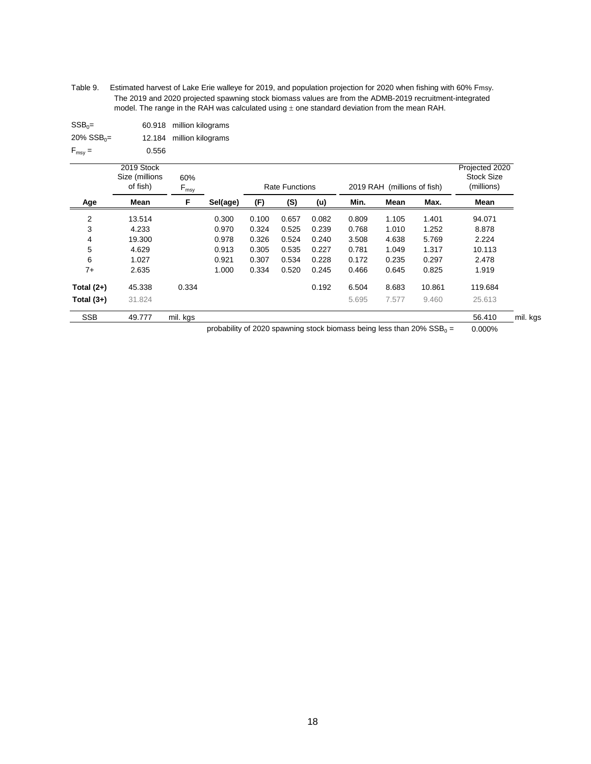Table 9. Estimated harvest of Lake Erie walleye for 2019, and population projection for 2020 when fishing with 60% Fmsy. The 2019 and 2020 projected spawning stock biomass values are from the ADMB-2019 recruitment-integrated model. The range in the RAH was calculated using  $\pm$  one standard deviation from the mean RAH.

| $SSB_0 =$                 |       | 60.918 million kilograms |
|---------------------------|-------|--------------------------|
| $20\%$ SSB <sub>0</sub> = |       | 12.184 million kilograms |
| $F_{\text{msv}} =$        | 0.556 |                          |

|                | 2019 Stock<br>Size (millions<br>of fish) | 60%<br>$F_{\text{msy}}$ |          |       | <b>Rate Functions</b> |       |       | 2019 RAH (millions of fish) |        | Projected 2020<br><b>Stock Size</b><br>(millions) |
|----------------|------------------------------------------|-------------------------|----------|-------|-----------------------|-------|-------|-----------------------------|--------|---------------------------------------------------|
| Age            | Mean                                     | F                       | Sel(age) | (F)   | (S)                   | (u)   | Min.  | Mean                        | Max.   | Mean                                              |
| $\overline{2}$ | 13.514                                   |                         | 0.300    | 0.100 | 0.657                 | 0.082 | 0.809 | 1.105                       | 1.401  | 94.071                                            |
| 3              | 4.233                                    |                         | 0.970    | 0.324 | 0.525                 | 0.239 | 0.768 | 1.010                       | 1.252  | 8.878                                             |
| 4              | 19.300                                   |                         | 0.978    | 0.326 | 0.524                 | 0.240 | 3.508 | 4.638                       | 5.769  | 2.224                                             |
| 5              | 4.629                                    |                         | 0.913    | 0.305 | 0.535                 | 0.227 | 0.781 | 1.049                       | 1.317  | 10.113                                            |
| 6              | 1.027                                    |                         | 0.921    | 0.307 | 0.534                 | 0.228 | 0.172 | 0.235                       | 0.297  | 2.478                                             |
| $7+$           | 2.635                                    |                         | 1.000    | 0.334 | 0.520                 | 0.245 | 0.466 | 0.645                       | 0.825  | 1.919                                             |
| Total $(2+)$   | 45.338                                   | 0.334                   |          |       |                       | 0.192 | 6.504 | 8.683                       | 10.861 | 119.684                                           |
| Total $(3+)$   | 31.824                                   |                         |          |       |                       |       | 5.695 | 7.577                       | 9.460  | 25.613                                            |
| <b>SSB</b>     | 49.777                                   | mil. kgs                |          |       |                       |       |       |                             |        | 56.410<br>mil. kgs                                |

probability of 2020 spawning stock biomass being less than 20%  $SSB_0 =$ = 0.000%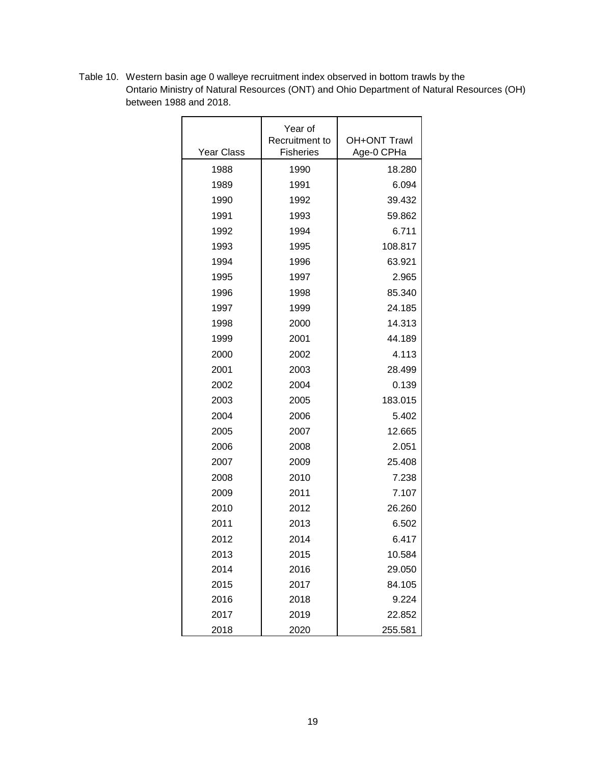|                   | Year of                            |                                   |
|-------------------|------------------------------------|-----------------------------------|
| <b>Year Class</b> | Recruitment to<br><b>Fisheries</b> | <b>OH+ONT Trawl</b><br>Age-0 CPHa |
| 1988              | 1990                               | 18.280                            |
| 1989              | 1991                               | 6.094                             |
| 1990              | 1992                               | 39.432                            |
| 1991              | 1993                               | 59.862                            |
| 1992              | 1994                               | 6.711                             |
| 1993              | 1995                               | 108.817                           |
| 1994              | 1996                               | 63.921                            |
| 1995              | 1997                               | 2.965                             |
| 1996              | 1998                               | 85.340                            |
| 1997              | 1999                               | 24.185                            |
| 1998              | 2000                               | 14.313                            |
| 1999              | 2001                               | 44.189                            |
| 2000              | 2002                               | 4.113                             |
| 2001              | 2003                               | 28.499                            |
| 2002              | 2004                               | 0.139                             |
| 2003              | 2005                               | 183.015                           |
| 2004              | 2006                               | 5.402                             |
| 2005              | 2007                               | 12.665                            |
| 2006              | 2008                               | 2.051                             |
| 2007              | 2009                               | 25.408                            |
| 2008              | 2010                               | 7.238                             |
| 2009              | 2011                               | 7.107                             |
| 2010              | 2012                               | 26.260                            |
| 2011              | 2013                               | 6.502                             |
| 2012              | 2014                               | 6.417                             |
| 2013              | 2015                               | 10.584                            |
| 2014              | 2016                               | 29.050                            |
| 2015              | 2017                               | 84.105                            |
| 2016              | 2018                               | 9.224                             |
| 2017              | 2019                               | 22.852                            |
| 2018              | 2020                               | 255.581                           |

Table 10. Western basin age 0 walleye recruitment index observed in bottom trawls by the Ontario Ministry of Natural Resources (ONT) and Ohio Department of Natural Resources (OH) between 1988 and 2018.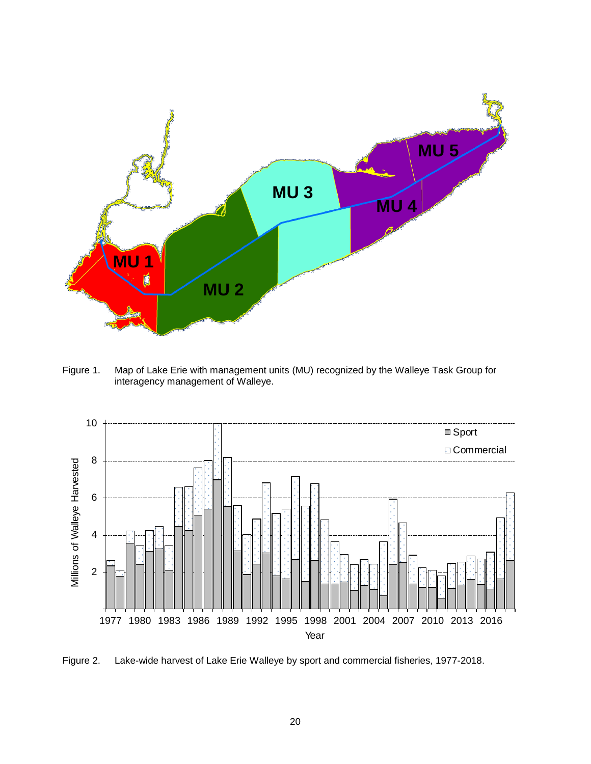

Figure 1. Map of Lake Erie with management units (MU) recognized by the Walleye Task Group for interagency management of Walleye.



Figure 2. Lake-wide harvest of Lake Erie Walleye by sport and commercial fisheries, 1977-2018.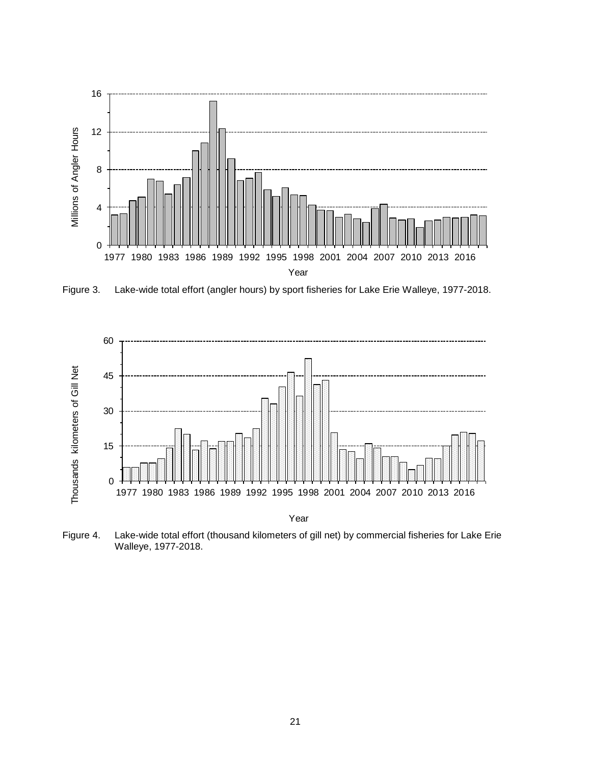

Figure 3. Lake-wide total effort (angler hours) by sport fisheries for Lake Erie Walleye, 1977-2018.



Figure 4. Lake-wide total effort (thousand kilometers of gill net) by commercial fisheries for Lake Erie Walleye, 1977-2018.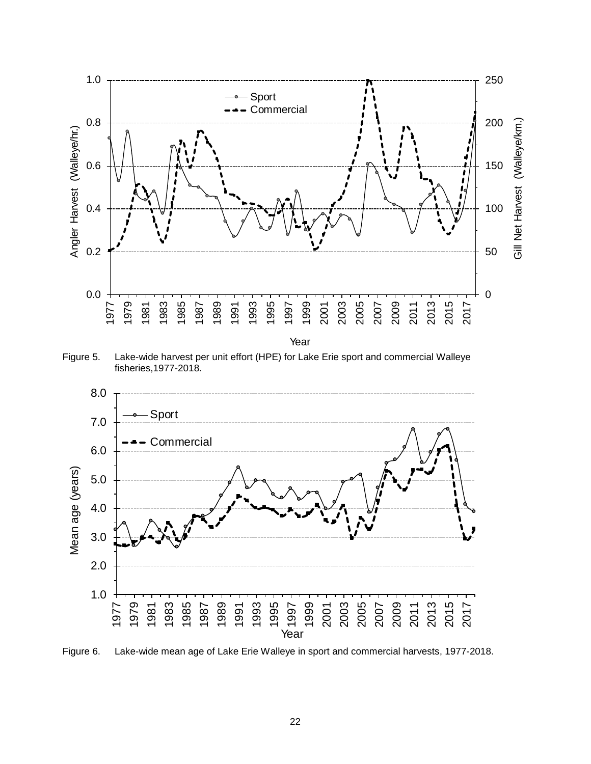

Figure 5. Lake-wide harvest per unit effort (HPE) for Lake Erie sport and commercial Walleye fisheries,1977-2018.



Figure 6. Lake-wide mean age of Lake Erie Walleye in sport and commercial harvests, 1977-2018.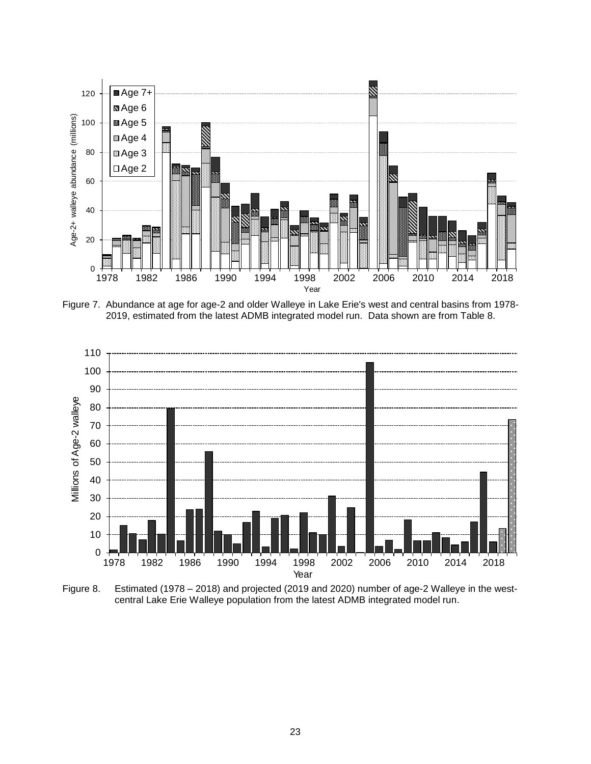

Figure 7. Abundance at age for age-2 and older Walleye in Lake Erie's west and central basins from 1978- 2019, estimated from the latest ADMB integrated model run. Data shown are from Table 8.



Figure 8. Estimated (1978 – 2018) and projected (2019 and 2020) number of age-2 Walleye in the westcentral Lake Erie Walleye population from the latest ADMB integrated model run.